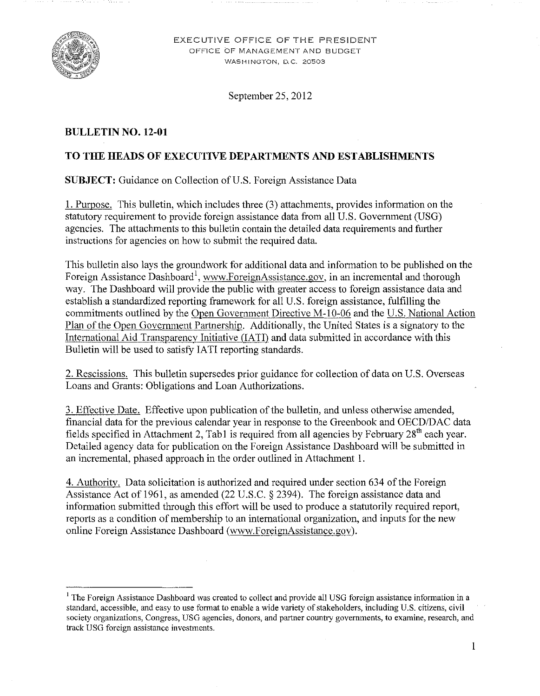

EXECUTIVE OFFICE OF THE PRESIDENT OFFICE OF MANAGEMENT AND BUDGET WASHINGTON, D.C. 20503

September 25,2012

### **BULLETIN NO. 12-01**

### **TO THE HEADS OF EXECUTIVE DEPARTMENTS AND ESTABLISHMENTS**

**SUBJECT:** Guidance on Collection of U.S. Foreign Assistance Data

I. Purpose. This bulletin, which includes three (3) attachments, provides information on the statutory requirement to provide foreign assistance data from all U.S. Government (USG) agencies. The attachments to this bulletin contain the detailed data requirements and further instructions for agencies on how to submit the required data.

This bulletin also lays the groundwork for additional data and information to be published on the Foreign Assistance Dashboard<sup>1</sup>, www.ForeignAssistance.gov, in an incremental and thorough way. The Dashboard will provide the public with greater access to foreign assistance data and establish a standardized reporting framework for all U.S. foreign assistance, fulfilling the commitments outlined by the [Open Government Directive M-IO-06](http://www.whitehouse.gov/sites/default/files/omb/assets/memoranda_2010/m10-06.pdf) and the [U.S. National Action](http://www.whitehouse.gov/sites/default/files/us_national_action_plan_final_2.pdf)  [Plan of the Open Government Partnership.](http://www.whitehouse.gov/sites/default/files/us_national_action_plan_final_2.pdf) Additionally, the United States is a signatory to the International Aid Transparency Initiative (IATI) and data submitted in accordance with this Bulletin will be used to satisfy IATI reporting standards.

2. Rescissions. This bulletin supersedes prior guidance for collection of data on U.S. Overseas Loans and Grants: Obligations and Loan Authorizations.

3. Effective Date. Effective upon publication of the bulletin, and unless otherwise amended, financial data for the previous calendar year in response to the Greenbook and OECD/DAC data fields specified in Attachment 2, Tab1 is required from all agencies by February  $28<sup>th</sup>$  each year. Detailed agency data for publication on the Foreign Assistance Dashboard will be submitted in an incremental, phased approach in the order outlined in Attachment I.

4. Authority. Data solicitation is authorized and required under section 634 of the Foreign Assistance Act of 1961, as amended (22 U.S.C. § 2394). The foreign assistance data and information submitted through this effort will be used to produce a statutorily required report, reports as a condition of membership to an international organization, and inputs for the new online Foreign Assistance Dashboard (www.ForeignAssistance.gov).

<sup>&</sup>lt;sup>1</sup> The Foreign Assistance Dashboard was created to collect and provide all USG foreign assistance information in a standard, accessible, and easy to use fonnat to enable a wide variety of stakeholders, including U.S. citizens, civil society organizations, Congress, USG agencies, donors, and partner country governments, to examine, research, and **track USG foreign assistance investments.**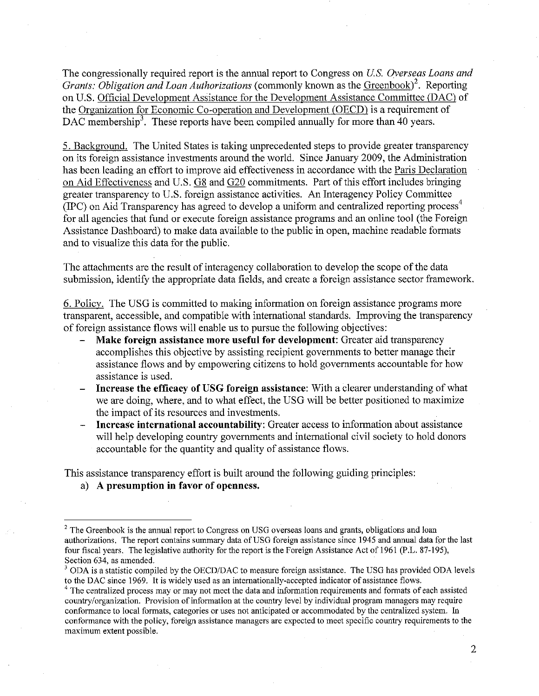The congressionally required report is the annual report to Congress on *U.S. Overseas Loans and Grants: Obligation and Loan Authorizations (commonly known as the [Greenbook\)](http://gbk.eads.usaidallnet.gov/)<sup>2</sup>. Reporting* on U.S. [Official Development Assistance for the Development Assistance Committee \(DAC\)](http://www.oecd.org/department/0,2688,en_2649_33721_1_1_1_1_1,00.html) of the [Organization for Economic Co-operation and Development \(OECD\)](http://www.oecd.org/home/0,3675,en_2649_201185_1_1_1_1_1,00.html) is a requirement of DAC membership<sup>3</sup>. These reports have been compiled annually for more than 40 years.

5. Background. The United States is taking unprecedented steps to provide greater transparency on its foreign assistance investments around the world. Since January 2009, the Administration has been leading an effort to improve aid effectiveness in accordance with the [Paris Declaration](http://www.oecd.org/dataoecd/11/41/34428351.pdf)  [on Aid Effectiveness](http://www.oecd.org/dataoecd/11/41/34428351.pdf) and U.S. [G8](http://www.g20-g8.com/g8-g20/g8/english/live/news/renewed-commitment-for-freedom-and-democracy.1314.html) and [G20](http://www.mof.go.jp/english/international_policy/convention/g20/g20_110219.pdf) commitments. Part of this effort includes bringing greater transparency to U.S. foreign assistance activities. An Interagency Policy Committee (IPC) on Aid Transparency has agreed to develop a uniform and centralized reporting process<sup>4</sup> for all agencies that fund or execute foreign assistance programs and an online tool (the Foreign Assistance Dashboard) to make data available to the public in open, machine readable formats and to visualize this data for the public.

The attachments are the result of interagency collaboration to develop the scope of the data submission, identify the appropriate data fields, and create a foreign assistance sector framework.

6. Policy. The USG is committed to making information on foreign assistance programs more transparent, accessible, and compatible with international standards. Improving the transparency of foreign assistance flows will enable us to pursue the following objectives:

- **Make foreign assistance more useful for development:** Greater aid transparency accomplishes this objective by assisting recipient governments to better manage their assistance flows and by empowering citizens to hold governments accountable for how assistance is used.
- **Increase the efficacy of USG foreign assistance:** With a clearer understanding of what we are doing, where, and to what effect, the USG will be better positioned to maximize the impact of its resources and investments.
- **Increase international accountability:** Greater access to information about assistance will help developing country governments and international civil society to hold donors accountable for the quantity and quality of assistance flows.

This assistance transparency effort is built around the following guiding principles:

a) **A presumption in favor of openness.** 

<sup>&</sup>lt;sup>2</sup> The Greenbook is the annual report to Congress on USG overseas loans and grants, obligations and loan authorizations. The report contains summary data of USG foreign assistance since 1945 and annual data for the last four fiscal years. The legislative authority for the report is the Foreign Assistance Act of 1961 (p.L. 87-195), Section 634, as amended.

 $3$  ODA is a statistic compiled by the OECD/DAC to measure foreign assistance. The USG has provided ODA levels to the DAC since 1969. It is widely used as an internationally-accepted indicator of assistance flows.

 $4$  The centralized process may or may not meet the data and information requirements and formats of each assisted country/organization. Provision of information at the country level by individual program managers may require conformance to local fonnats, categories or uses not anticipated or accommodated by the centralized system. In confonnance with the policy, foreign assistance managers are expected to meet specific country requirements to the maximum extent possible.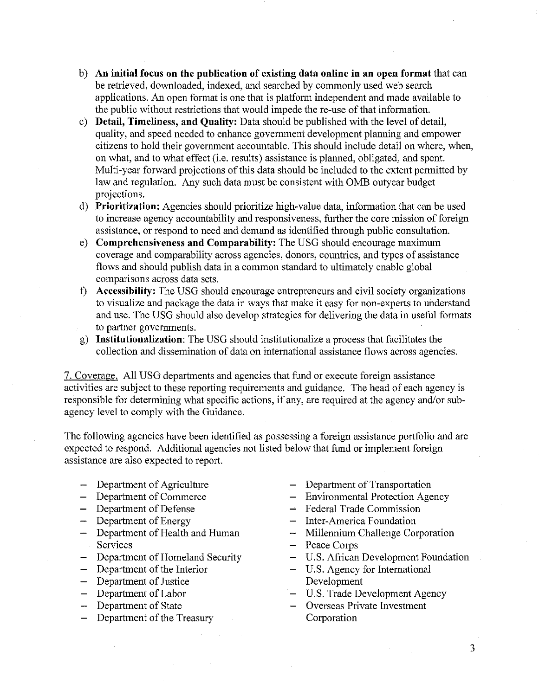- b) **An initial focus on the publication of existing data online in an open format** that can be retrieved, downloaded, indexed, and searched by commonly used web search applications. An open format is one that is platform independent and made available to the public without restrictions that would impede the re-use of that information.
- c) **Detail, Timeliness, and Quality:** Data should be published with the level of detail, quality, and speed needed to enhance government development planning and empower citizens to hold their govermnent accountable. This should include detail on where, when, on what, and to what effect (i.e. results) assistance is planned, obligated, and spent. Multi-year forward projections of this data should be included to the extent permitted by law and regulation. Any such data must be consistent with OMB out year budget projections.
- d) **Prioritization:** Agencies should prioritize high-value data, information that can be used to increase agency accountability and responsiveness, further the core mission of foreign assistance, or respond to need and demand as identified through public consultation.
- e) **Comprehensiveness and Comparability:** The USG should encourage maximum coverage and comparability across agencies, donors, countries, and types of assistance flows and should publish data in a common standard to ultimately enable global comparisons across data sets.
- f) **Accessibility:** The USG should encourage entrepreneurs and civil society organizations to visualize and package the data in ways that make it easy for non-experts to understand and use. The USG should also develop strategies for delivering the data in useful formats to partner governments.
- g) **Institutionalization:** The USG should institutionalize a process that facilitates the collection and dissemination of data on international assistance flows across agencies.

7. Coverage. All USG departments and agencies that fund or execute foreign assistance activities are subject to these reporting requirements and guidance. The head of each agency is responsible for determining what specific actions, if any, are required at the agency and/or subagency level to comply with the Guidance.

The following agencies have been identified as possessing a foreign assistance portfolio and are expected to respond. Additional agencies not listed below that fund or implement foreign assistance are also expected to report.

- 
- 
- 
- 
- Department of Energy Inter-America Foundation<br>
Department of Health and Human Millennium Challenge Cor Services – Peace Corps
- Department of Homeland Security U.S. African Development Foundation
- 
- Department of Justice Development
- 
- 
- Department of the Treasury Corporation
- Department of Agriculture Department of Transportation<br>- Department of Commerce Environmental Protection Age
	- $-$  Environmental Protection Agency
- Department of Defense Federal Trade Commission<br>
Department of Energy Inter-America Foundation
	-
	- Millennium Challenge Corporation
	-
	-

- Department of the Interior U.S. Agency for International
- Department of Labor U.S. Trade Development Agency
- Department of State  $-$  Overseas Private Investment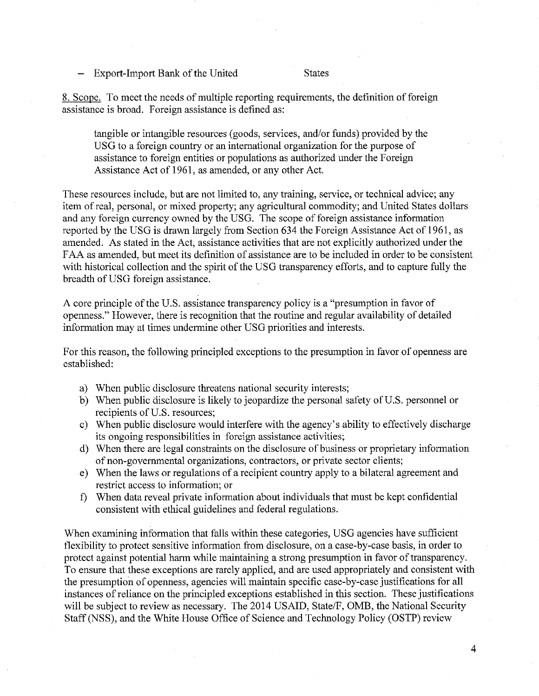Export-Import Bank of the United States

8. Scope. To meet the needs of multiple reporting requirements, the definition of foreign assistance is broad. Foreign assistance is defined as:

tangible or intangible resources (goods, services, and/or funds) provided by the USG to a foreign country or an international organization for the purpose of assistance to foreign entities or populations as authorized under the Foreign Assistance Act of 1961, as amended, or any other Act.

These resources include, but are not limited to, any training, service, or technical advice; any item of real, personal, or mixed property; any agricultural commodity; and United States dollars and any foreign currency owned by the USG. The scope of foreign assistance information reported by the USG is drawn largely from Section 634 the Foreign Assistance Act of 1961, as amended. As stated in the Act, assistance activities that are not explicitly authorized under the FAA as amended, but meet its definition of assistance are to be included in order to be consistent with historical collection and the spirit of the USG transparency efforts, and to capture fully the breadth of USG foreign assistance.

A core principle of the U.S. assistance transparency policy is a "presumption in favor of openness." However, there is recognition that the routine and regular availability of detailed information may at times undermine other USG priorities and interests.

For this reason, the following principled exceptions to the presumption in favor of openness are established:

- a) When public disclosure threatens national security interests;
- b) When public disclosure is likely to jeopardize the personal safety of U.S. personnel or recipients of U.S. resources;
- c) When public disclosure would interfere with the agency's ability to effectively discharge its ongoing responsibilities in foreign assistance activities;
- d) When there are legal constraints on the disclosure of business or proprietary information of non-governmental organizations, contractors, or private sector clients;
- e) When the laws or regulations of a recipient country apply to a bilateral agreement and restrict access to information; or
- f) When data reveal private information about individuals that must be kept confidential consistent with ethical guidelines and federal regulations.

When examining information that falls within these categories, USG agencies have sufficient flexibility to protect sensitive information from disclosure, on a case-by-case basis, in order to protect against potential harm while maintaining a strong presumption in favor of transparency. To ensure that these exceptions are rarely applied, and are used appropriately and consistent with the presumption of openness, agencies will maintain specific case-by-case justifications for all instances ofreliance on the principled exceptions established in this section. These justifications will be subject to review as necessary. The 2014 USAID, State/F, OMB, the National Security Staff (NSS), and the White House Office of Science and Technology Policy (OSTP) review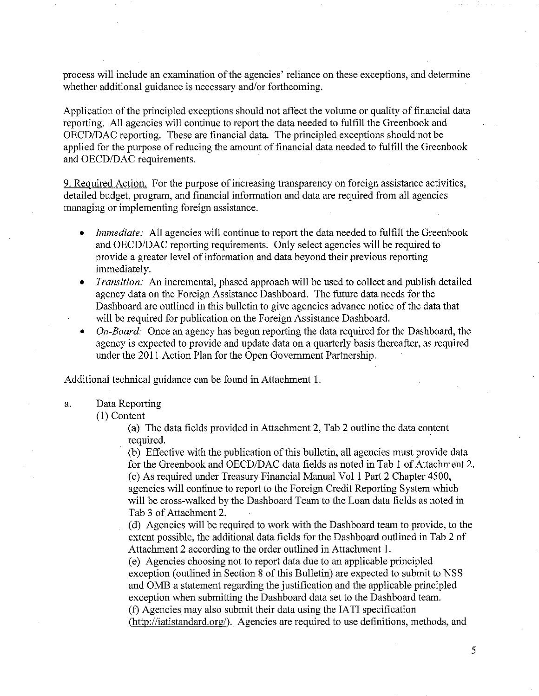process will include an examination of the agencies' reliance on these exceptions, and determine whether additional guidance is necessary and/or forthcoming.

Application of the principled exceptions should not affect the volume or quality of financial data reporting. All agencies will continue to report the data needed to fulfill the Greenbook and OECD/DAC reporting. These are financial data. The principled exceptions should not be applied for the purpose of reducing the amount of financial data needed to fulfill the Greenbook and OECD/DAC requirements.

9. Required Action. For the purpose of increasing transparency on foreign assistance activities, detailed budget, program, and financial information and data are required from all agencies managing or implementing foreign assistance.

- *Immediate:* All agencies will continue to report the data needed to fulfill the Greenbook and OECD/DAC reporting requirements. Only select agencies will be required to provide a greater level of infonnation and data beyond their previous reporting immediately.
- *<i>Transition:* An incremental, phased approach will be used to collect and publish detailed agency data on the Foreign Assistance Dashboard. The future data needs for the Dashboard are outlined in this bulletin to give agencies advance notice of the data that will be required for publication on the Foreign Assistance Dashboard.
- *On-Board:* Once an agency has begun reporting the data required for the Dashboard, the agency is expected to provide and update data on a quarterly basis thereafter, as required under the 2011 Action Plan for the Open Government Partnership.

Additional technical guidance can be found in Attachment 1.

#### a. Data Reporting

### (1) Content

(a) The data fields provided in Attachment 2, Tab 2 outline the data content required.

(b) Effective with the publication of this bulletin, all agencies must provide data for the Greenbook and OECD/DAC data fields as noted in Tab 1 of Attachment 2. (c) As required under Treasury Financial Manual Vol 1 Part 2 Chapter 4500, agencies will continue to report to the Foreign Credit Reporting System which will be cross-walked by the Dashboard Team to the Loan data fields as noted in Tab 3 of Attachment 2.

(d) Agencies will be required to work with the Dashboard team to provide, to the extent possible, the additional data fields for the Dashboard outlined in Tab 2 of Attachment 2 according to the order outlined in Attachment 1.

(e) Agencies choosing not to report data due to an applicable principled exception (outlined in Section 8 of this Bulletin) are expected to submit to NSS and OMB a statement regarding the justification and the applicable principled exception when submitting the Dashboard data set to the Dashboard team. (f) Agencies may also submit their data using the IA TI specification

(http://iatistandard.org/). Agencies are required to use definitions, methods, and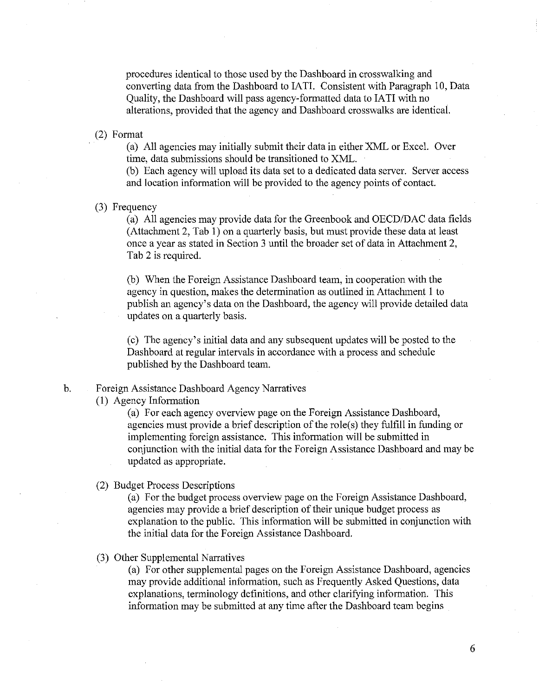procedures identical to those used by the Dashboard in crosswalking and converting data from the Dashboard to IA TI. Consistent with Paragraph 10, Data Quality, the Dashboard will pass agency-formatted data to IATI with no alterations, provided that the agency and Dashboard crosswalks are identical.

(2) Format

(a) All agencies may initially submit their data in either XML or Excel. Over time, data submissions should be transitioned to XML.

(b) Each agency will upload its data set to a dedicated data server. Server access and location information will be provided to the agency points of contact.

(3) Frequency

(a) All agencies may provide data for the Greenbook and OECD/DAC data fields (Attachment 2, Tab I) on a quarterly basis, but must provide these data at least once a year as stated in Section 3 until the broader set of data in Attachment 2, Tab 2 is required.

(b) When the Foreign Assistance Dashboard team, in cooperation with the agency in question, makes the determination as outlined in Attachment 1 to publish an agency's data on the Dashboard, the agency will provide detailed data updates on a quarterly basis.

(c) The agency's initial data and any subsequent updates will be posted to the Dashboard at regular intervals in accordance with a process and schedule published by the Dashboard team.

### b. Foreign Assistance Dashboard Agency Narratives

(1) Agency Information

(a) For each agency overview page on the Foreign Assistance Dashboard, agencies must provide a brief description of the role(s) they fulfill in funding or implementing foreign assistance. This information will be submitted in conjunction with the initial data for the Foreign Assistance Dashboard and may be updated as appropriate.

(2) Budget Process Descriptions

(a) For the budget process overview page on the Foreign Assistance Dashboard, agencies may provide a brief description of their unique budget process as explanation to the public. This information will be submitted in conjunction with the initial data for the Foreign Assistance Dashboard.

(3) Other Supplemental Narratives

(a) For other supplemental pages on the Foreign Assistance Dashboard, agencies may provide additional information, such as Frequently Asked Questions, data explanations, terminology definitions, and other clarifying information. This information may be submitted at any time after the Dashboard team begins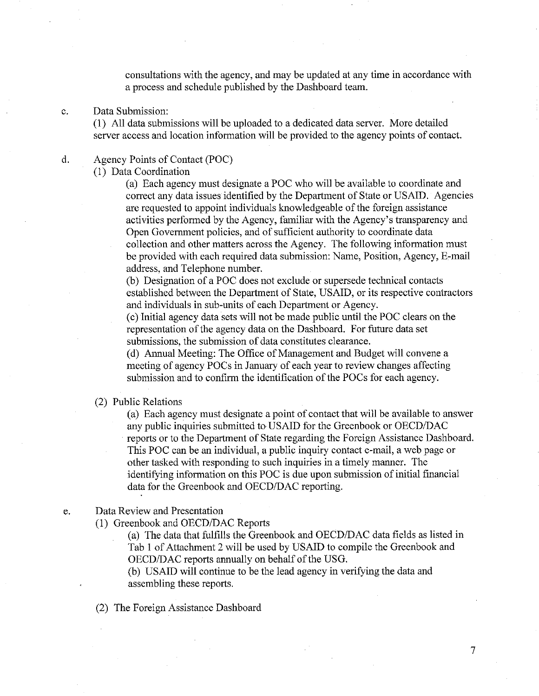consultations with the agency, and may be updated at any time in accordance with a process and schedule published by the Dashboard team.

#### c. Data Submission:

(1) All data submissions will be uploaded to a dedicated data server. More detailed server access and location information will be provided to the agency points of contact.

### d. Agency Points of Contact (POC)

(I) Data Coordination

(a) Each agency must designate a POC who will be available to coordinate and correct any data issues identified by the Department of State or USAID. Agencies are requested to appoint individuals knowledgeable of the foreign assistance activities performed by the Agency, familiar with the Agency's transparency and Open Government policies, and of sufficient authority to coordinate data collection and other matters across the Agency. The following information must be provided with each required data submission: Name, Position, Agency, E-mail address, and Telephone number.

(b) Designation of a POC does not exclude or supersede technical contacts established between the Department of State, USAID, or its respective contractors and individuals in sub-units of each Department or Agency.

(c) Initial agency data sets will not be made public until the POC clears on the representation of the agency data on the Dashboard. For future data set submissions, the submission of data constitutes clearance.

(d) Annual Meeting: The Office of Management and Budget will convene a meeting of agency POCs in January of each year to review changes affecting submission and to confirm the identification of the POCs for each agency.

#### (2) Public Relations

(a) Each agency must designate a point of contact that will be available to answer any public inquiries submitted to USAID for the Greenbook or OECD/DAC reports or to the Department of State regarding the Foreign Assistance Dashboard. This POC can be an individual, a public inquiry contact e-mail, a web page or other tasked with responding to such inquiries in a timely manner. The identifying information on this POC is due upon submission of initial financial data for the Greenbook and OECD/DAC reporting.

### e. Data Review and Presentation

(1) Greenbook and OECD/DAC Reports

(a) The data that fulfills the Greenbook and OECD/DAC data fields as listed in Tab I of Attachment 2 will be used by USAID to compile the Greenbook and OECDIDAC reports annually on behalf of the USG.

(b) USAID will continue to be the lead agency in verifying the data and assembling these reports.

(2) The Foreign Assistance Dashboard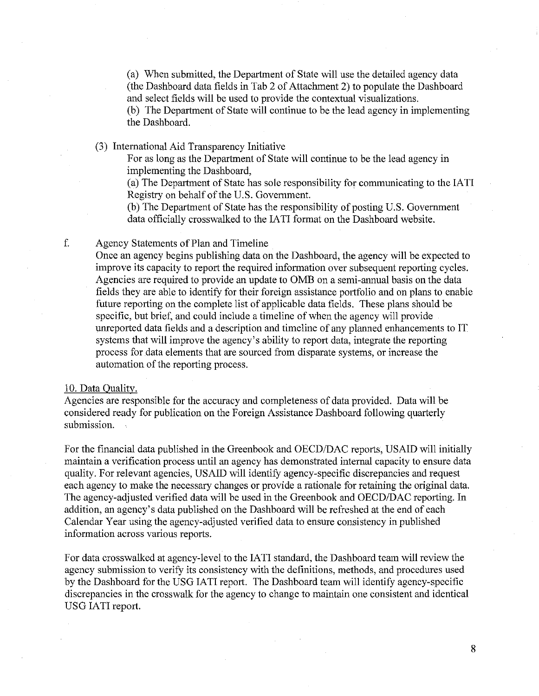(a) When submitted, the Department of State will use the detailed agency data (the Dashboard data fields in Tab 2 of Attachment 2) to populate the Dashboard and select fields will be used to provide the contextual visualizations.

(b) The Department of State will continue to be the lead agency in implementing the Dashboard.

(3) International Aid Transparency Initiative

For as long as the Department of State will continue to be the lead agency in implementing the Dashboard,

(a) The Department of State has sole responsibility for communicating to the IAT! Registry on behalf of the U.S. Government.

(b) The Department of State has the responsibility of posting U.S. Government data officially crosswalked to the IATI format on the Dashboard website.

### f. Agency Statements of Plan and Timeline

Once an agency begins publishing data on the Dashboard, the agency will be expected to improve its capacity to report the required information over subsequent reporting cycles. Agencies are required to provide an update to OMB on a semi-annual basis on the data fields they are able to identify for their foreign assistance portfolio and on plans to enable future reporting on the complete list of applicable data fields. These plans should be specific, but brief, and could include a timeline of when the agency will provide unreported data fields and a description and timeline of any planned enhancements to IT systems that will improve the agency's ability to report data, integrate the reporting process for ,data elements that are sourced from disparate systems, or increase the automation of the reporting process.

#### 10. Data Ouality.

Agencies are responsible for the accuracy and completeness of data provided. Data will be considered ready for publication on the Foreign Assistance Dashboard following quarterly submission.

For the financial data published in the Greenbook and OECD/DAC reports, USAID will initially maintain a verification process until an agency has demonstrated internal capacity to ensure data qUality. For relevant agencies, USAID will identify agency-specific discrepancies and request each agency to make the necessary changes or provide a rationale for retaining the original data. The agency-adjusted verified data will be used in the Greenbook and OECD/DAC reporting. In addition, an agency's data published on the Dashboard will be refreshed at the end of each Calendar Year using the agency-adjusted verified data to ensure consistency in published information across various reports.

For data crosswalked at agency-level to the IATI standard, the Dashboard team will review the agency submission to verify its consistency with the definitions, methods, and procedures used by the Dashboard for the USG IATI report. The Dashboard team will identify agency-specific discrepancies in the crosswalk for the agency to change to maintain one consistent and identical USG IATI report.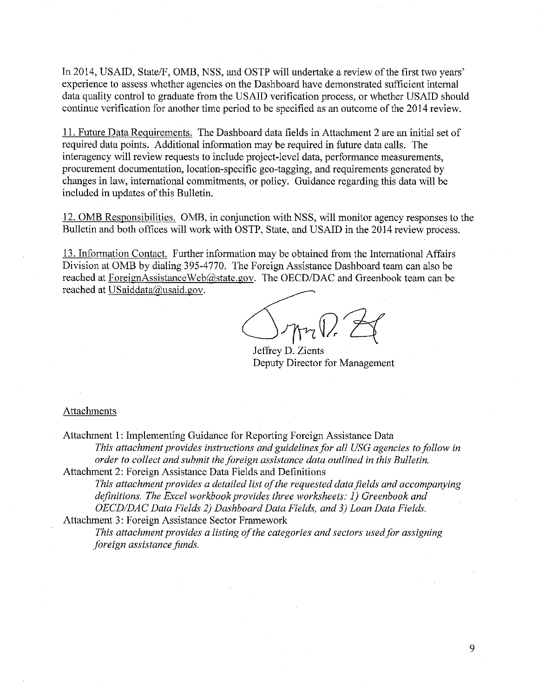In 2014, USAID, State/F, OMB, NSS, and OSTP will undertake a review of the first two years' experience to assess whether agencies on the Dashboard have demonstrated sufficient internal data quality control to graduate from the USAID verification process, or whether USAID should continue verification for another time period to be specified as an outcome of the 2014 review.

II. Future Data Requirements. The Dashboard data fields in Attachment 2 are an initial set of required data points. Additional information may be required in future data calls. The interagency will review requests to include project-level data, performance measurements, procurement documentation, location-specific geo-tagging, and requirements generated by changes in law, international commitments, or policy. Guidance regarding this data will be included in updates of this Bulletin.

12.0MB Responsibilities. OMB, in conjunction with NSS, will monitor agency responses to the Bulletin and both offices will work with OSTP, State, and USAID in the 2014 review process.

13. Information Contact. Further information may be obtained from the International Affairs Division at OMB by dialing 395-4770. The Foreign Assistance Dashboard team can also be reached at ForeignAssistanceWeb@state.gov. The *OECD/DAC* and Greenbook team can be reached at USaiddata@usaid.gov.

 $-$ J $\gamma$ Ari $V$ ,  $\Box$ 

Jeffrey D. Zients Deputy Director for Management

### Attachments

Attachment I: Implementing Guidance for Reporting Foreign Assistance Data *This attachment provides instructions and guidelines for all USG agencies to follow in order to collect and submit the foreign assistance data outlined in this Bulletin.*  Attachment 2: Foreign Assistance Data Fields and Definitions

*This attachment provides a detailed list ofthe requested data fields and accompanying definitions. The Excel workbook provides three worksheets:* 1) *Greenbook and OECDIDAC Data Fields* 2) *Dashboard Data Fields, and* 3) *Loan Data Fields.* 

Attachment 3: Foreign Assistance Sector Framework

*This attachment provides a listing ofthe categories and sectors used for assigning foreign assistance funds.*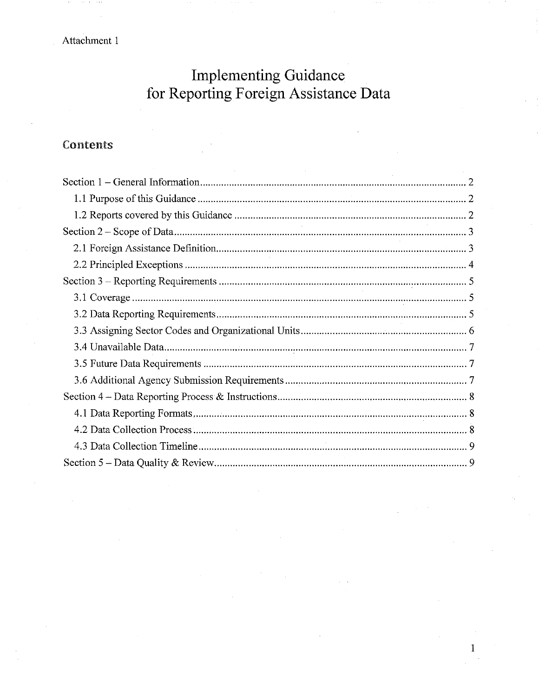Attachment 1

# **Implementing Guidance** for Reporting Foreign Assistance Data

## Contents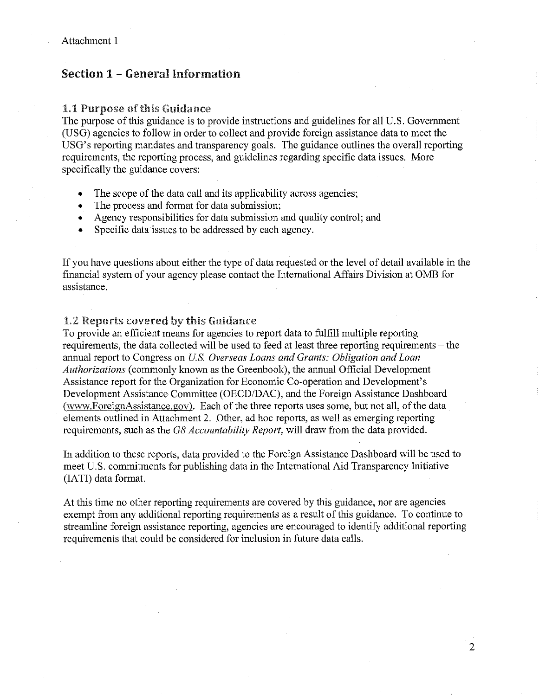### Section 1 - General Information

### 1.1 Purpose of this Guidance

The purpose of this guidance is to provide instructions and guidelines for all U.S. Government (USG) agencies to follow in order to collect and provide foreign assistance data to meet the USG's reporting mandates and transparency goals. The guidance outlines the overall reporting requirements, the reporting process, and guidelines regarding specific data issues. More specifically the guidance covers:

- The scope of the data call and its applicability across agencies;
- The process and format for data submission;
- Agency responsibilities for data submission and quality control; and
- Specific data issues to be addressed by each agency.

If you have questions about either the type of data requested or the level of detail available in the financial system of your agency please contact the International Affairs Division at OMB for assistance.

### 1.2 Reports covered by this Guidance

To provide an efficient means for agencies to report data to fulfill multiple reporting requirements, the data collected will be used to feed at least three reporting requirements - the annual report to Congress on *Us. Overseas Loans and Grants: Obligation and Loan Authorizations* (commonly known as the Greenbook), the annual Official Development Assistance report for the Organization for Economic Co-operation and Development's Development Assistance Committee (OECD/DAC), and the Foreign Assistance Dashboard (www.ForeignAssistance.gov). Each of the three reports uses some, but not all, of the data elements outlined in Attachment 2. Other, ad hoc reports, as well as emerging reporting requirements, such as the G8 *Accountability Report,* will draw from the data provided.

In addition to these reports, data provided to the Foreign Assistance Dashboard will be used to meet U.S. commitments for publishing data in the International Aid Transparency Initiative (IATI) data format.

At this time no other reporting requirements are covered by this guidance, nor are agencies exempt from any additional reporting requirements as a result of this guidance. To continue to streamline foreign assistance reporting, agencies are encouraged to identify additional reporting requirements that could be considered for inclusion in future data calls.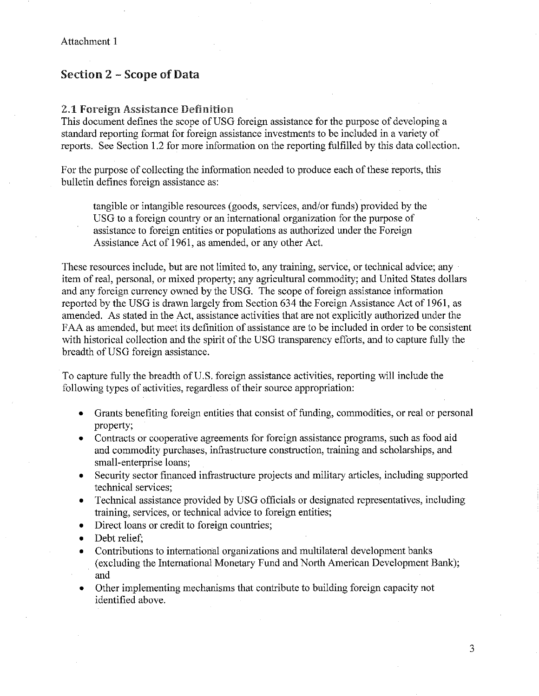### Section 2 - Scope of Data

### 2.1 Foreign Assistance Definition

This document defines the scope of USG foreign assistance for the purpose of developing a standard reporting format for foreign assistance investments to be included in a variety of reports. See Section 1.2 for more information on the reporting fulfilled by this data collection.

For the purpose of collecting the information needed to produce each of these reports, this bulletin defines foreign assistance as:

tangible or intangible resources (goods, services, and/or funds) provided by the USG to a foreign country or an international organization for the purpose of assistance to foreign entities or populations as authorized under the Foreign Assistance Act of 1961, as amended, or any other Act.

These resources include, but are not limited to, any training, service, or technical advice; any item of real, personal, or mixed property; any agricultural commodity; and United States dollars and any foreign currency owned by the USG. The scope of foreign assistance information reported by the USG is drawn largely from Section 634 the Foreign Assistance Act of 1961, as amended. As stated in the Act, assistance activities that are not explicitly authorized under the FAA as amended, but meet its definition of assistance are to be included in order to be consistent with historical collection and the spirit of the USG transparency efforts, and to capture fully the breadth of USG foreign assistance.

To capture fully the breadth of U.S. foreign assistance activities, reporting will include the following types of activities, regardless of their source appropriation:

- Grants benefiting foreign entities that consist of funding, commodities, or real or personal property;
- Contracts or cooperative agreements for foreign assistance programs, such as food aid and commodity purchases, infrastructure construction, training and scholarships, and small-enterprise loans;
- Security sector financed infrastructure projects and military articles, including supported technical services;
- Technical assistance provided by USG officials or designated representatives, including training, services, or technical advice to foreign entities;
- Direct loans or credit to foreign countries:
- Debt relief:
- Contributions to international organizations and multilateral development banks (excluding the International Monetary Fund and North American Development Bank); and
- Other implementing mechanisms that contribute to building foreign capacity not identified above.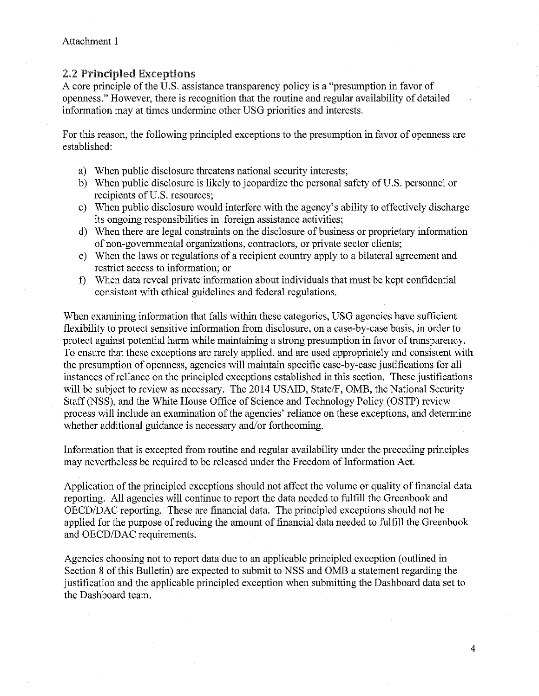### 2.2 Principled Exceptions

A core principle of the U.S. assistance transparency policy is a "presumption in favor of openness." However, there is recognition that the routine and regular availability of detailed information may at times undermine other USG priorities and interests.

For this reason, the following principled exceptions to the presumption in favor of openness are established:

- a) When public disclosure threatens national security interests;
- b) When public disclosure is likely to jeopardize the personal safety of U.S. personnel or recipients of U.S. resources;
- c) When public disclosure would interfere with the agency's ability to effectively discharge its ongoing responsibilities in foreign assistance activities;
- d) When there are legal constraints on the disclosure of business or proprietary information of non-governmental organizations, contractors, or private sector clients;
- e) When the laws or regulations of a recipient country apply to a bilateral agreement and restrict access to information; or
- f) When data reveal private information about individuals that must be kept confidential consistent with ethical guidelines and federal regulations.

When examining information that falls within these categories, USG agencies have sufficient flexibility to protect sensitive information from disclosure, on a case-by-case basis, in order to protect against potential harm while maintaining a strong presumption in favor of transparency. To ensure that these exceptions are rarely applied, and are used appropriately and consistent with the presumption of openness, agencies will maintain specific case-by-case justifications for all instances of reliance on the principled exceptions established in this section. These justifications will be subject to review as necessary. The 2014 USAID, State/F, OMB, the National Security Staff (NSS), and the White House Office of Science and Technology Policy (OSTP) review process will include an examination of the agencies' reliance on these exceptions, and determine whether additional guidance is necessary and/or forthcoming.

Information that is excepted from routine and regular availability under the preceding principles may nevertheless be required to be released under the Freedom of Information Act.

Application of the principled exceptions should not affect the volume or quality of financial data reporting. All agencies will continue to report the data needed to fulfill the Greenbook and OECD/DAC reporting. These are financial data. The principled exceptions should not be applied for the purpose of reducing the amount of financial data needed to fulfill the Greenbook and OECD/DAC requirements.

Agencies choosing not to report data due to an applicable principled exception (outlined in Section 8 of this Bulletin) are expected to submit to NSS and OMB a statement regarding the justification and the applicable principled exception when submitting the Dashboard data set to the Dashboard team.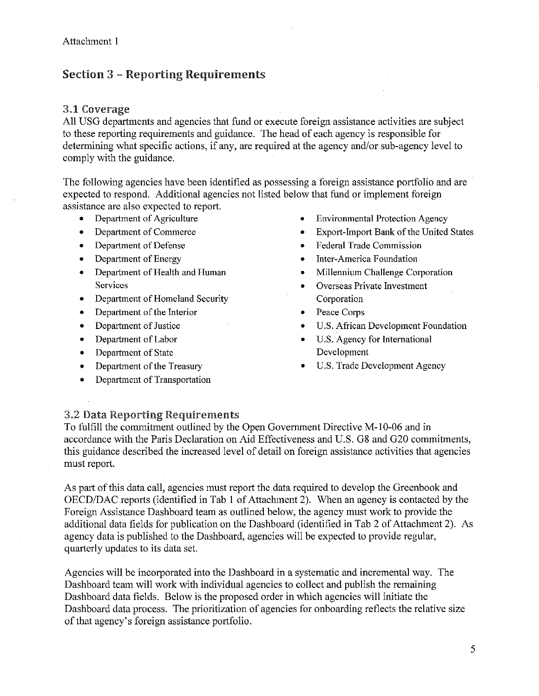### Section 3 - Reporting Requirements

### 3.1 Coverage

All USG departments and agencies that fund or execute foreign assistance activities are subject to these reporting requirements and guidance. The head of each agency is responsible for determining what specific actions, if any, are required at the agency and/or sub-agency level to comply with the guidance.

The following agencies have been identified as possessing a foreign assistance portfolio and are expected to respond. Additional agencies not listed below that fund or implement foreign assistance are also expected to report.

- Department of Agriculture
- Department of Commerce
- Department of Defense
- Department of Energy
- Department of Health and Human **Services**
- Department of Homeland Security
- Department of the Interior
- Department of Justice
- Department of Labor
- Department of State
- Department of the Treasury
- Department of Transportation
- **Environmental Protection Agency**
- Export-Import Bank of the United States
- **Federal Trade Commission**
- Inter-America Foundation
- Millennium Challenge Corporation
- Overseas Private Investment Corporation
- Peace Corps
- U.S. African Development Foundation
- U.S. Agency for International Development
- **U.S. Trade Development Agency**

### 3.2 Data Reporting Requirements

To fulfill the commitment outlined by the Open Govermnent Directive M-lO-06 and in accordance with the Paris Declaration on Aid Effectiveness and U.S. G8 and G20 commitments, this guidance described the increased level of detail on foreign assistance activities that agencies must report.

As part of this data call, agencies must report the data required to develop the Greenbook and OECD/DAC reports (identified in Tab 1 of Attachment 2). When an agency is contacted by the Foreign Assistance Dashboard team as outlined below, the agency must work to provide the additional data fields for publication on the Dashboard (identified in Tab 2 of Attachment 2). As agency data is published to the Dashboard, agencies will be expected to provide regular, quarterly updates to its data set.

Agencies will be incorporated into the Dashboard in a systematic and incremental way. The Dashboard team will work with individual agencies to collect and publish the remaining Dashboard data fields. Below is the proposed order in which agencies will initiate the Dashboard data process. The prioritization of agencies for onboarding reflects the relative size of that agency's foreign assistance portfolio.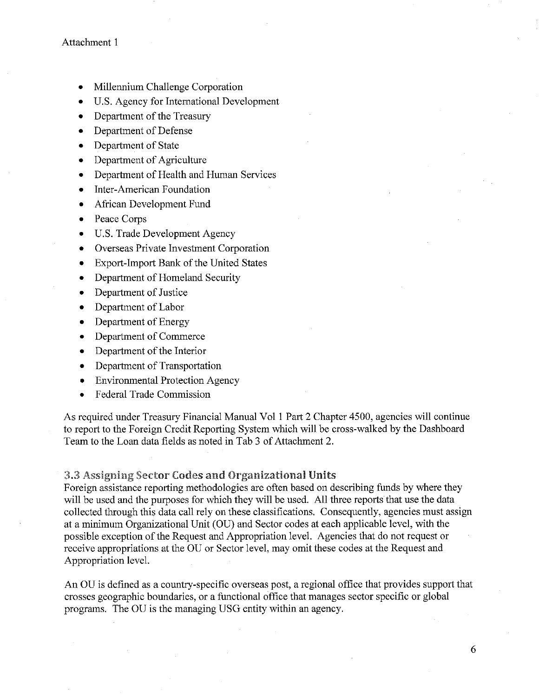- Millennium Challenge Corporation
- u.s. Agency for International Development
- Department of the Treasury
- Department of Defense
- Department of State
- Department of Agriculture
- Department of Health and Human Services
- Inter-American Foundation
- African Development Fund
- Peace Corps
- U.S. Trade Development Agency
- Overseas Private Investment Corporation
- Export-Import Bank of the United States
- Department of Homeland Security
- Department of Justice
- Department of Labor
- Department of Energy
- Department of Commerce
- Department of the Interior
- Department of Transportation
- Environmental Protection Agency
- Federal Trade Commission

As required under Treasury Financial Manual Vol I Part 2 Chapter 4500, agencies will continue to report to the Foreign Credit Reporting System which will be cross-walked by the Dashboard Team to the Loan data fields as noted in Tab 3 of Attachment 2.

### 3.3 Assigning Sector Codes and Organizational Units

Foreign assistance reporting methodologies are often based on describing funds by where they will be used and the purposes for which they will be used. All three reports that use the data collected through this data call rely on these classifications. Consequently, agencies must assign at a minimum Organizational Unit (OU) and Sector codes at each applicable level, with the possible exception of the Request and Appropriation level. Agencies that do not request or receive appropriations at the OU or Sector level, may omit these codes at the Request and Appropriation level.

An OU is defined as a country-specific overseas post, a regional office that provides support that crosses geographic boundaries, or a functional office that manages sector specific or global programs. The OU is the managing USG entity within an agency.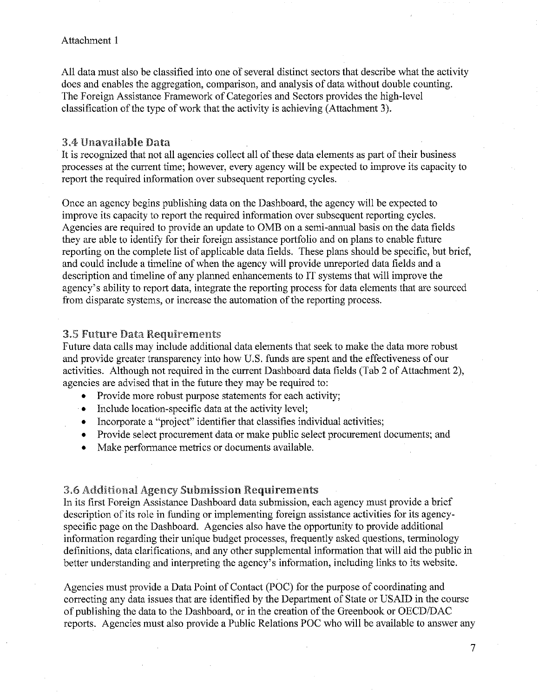### Attachment I

All data must also be classified into one of several distinct sectors that describe what the activity does and enables the aggregation, comparison, and analysis of data without double counting. The Foreign Assistance Framework of Categories and Sectors provides the high-level classification of the type of work that the activity is achieving (Attachment 3).

### 3.4 Unavailable

It is recognized that not all agencies collect all of these data elements as part of their business processes at the current time; however, every agency will be expected to improve its capacity to report the required information over subsequent reporting cycles.

Once an agency begins publishing data on the Dashboard, the agency will be expected to improve its capacity to report the required information over subsequent reporting cycles. Agencies are required to provide an update to OMB on a semi-annual basis on the data fields they are able to identify for their foreign assistance portfolio and on plans to enable future reporting on the complete list of applicable data fields. These plans should be specific, but brief, and could include a timeline of when the agency will provide unreported data fields and a description and timeline of any planned enhancements to IT systems that will improve the agency's ability to report data, integrate the reporting process for data elements that are sourced from disparate systems, or increase the automation of the reporting process.

### **3.5 Future Data Requirements**

Future data calls may include additional data elements that seek to make the data more robust and provide greater transparency into how U.S. funds are spent and the effectiveness of our activities. Although not required in the current Dashboard data fields (Tab 2 of Attachment 2), agencies are advised that in the future they may be required to:

- Provide more robust purpose statements for each activity;
- Include location-specific data at the activity level;
- Incorporate a "project" identifier that classifies individual activities;
- Provide select procurement data or make public select procurement documents; and
- Make performance metrics or documents available.

#### 3.6 Additional Agency Submission Requirements

In its first Foreign Assistance Dashboard data submission, each agency must provide a brief description of its role in funding or implementing foreign assistance activities for its agencyspecific page on the Dashboard. Agencies also have the opportunity to provide additional information regarding their unique budget processes, frequently asked questions, terminology definitions, data clarifications, and any other supplemental information that will aid the public in better understanding and interpreting the agency's information, including links to its website.

Agencies must provide a Data Point of Contact (POC) for the purpose of coordinating and correcting any data issues that are identified by the Department of State or USAID in the course of publishing the data to the Dashboard, or in the creation of the Greenbook or OECD/DAC reports. Agencies must also provide a Public Relations POC who will be available to answer any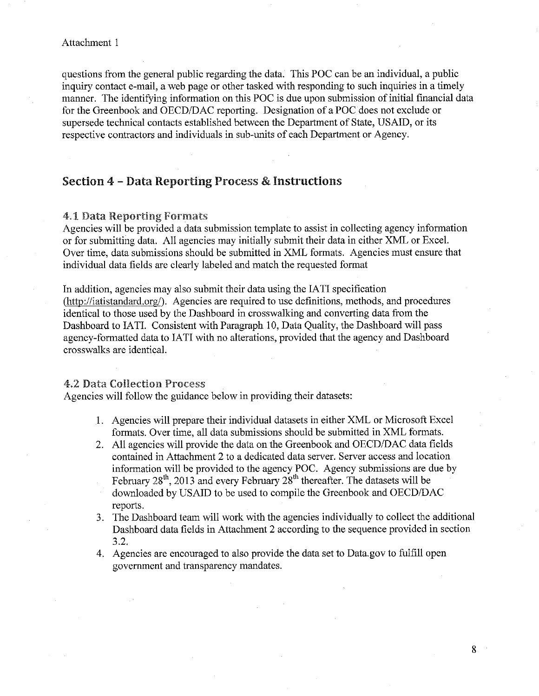#### Attachment 1

questions from the general public regarding the data. This POC can be an inclividual, a public inquiry contact e-mail, a web page or other tasked with responding to such inquiries in a timely manner. The identifying information on this POC is due upon submission of initial financial data for the Greenbook and OECD/DAC reporting. Designation of a POC does not exclude or supersede technical contacts established between the Department of State, USAID, or its respective contractors and individuals in sub-units of each Department or Agency.

### Section 4 - Data Reporting Process & Instructions

### 4.1 Data Reporting Formats

Agencies will be provided a data submission template to assist in collecting agency information or for submitting data. All agencies may initially submit their data in either XML or Excel. Over time, data submissions should be submitted in XML formats. Agencies must ensure that individual data fields are clearly labeled and match the requested format

In addition, agencies may also submit their data using the IATI specification (http://iatistandard.org/). Agencies are required to use definitions, methods, and procedures identical to those used by the Dashboard in crosswalking and converting data from the Dashboard to IATI. Consistent with Paragraph 10, Data Quality, the Dashboard will pass agency-formatted data to IATI with no alterations, provided that the agency and Dashboard crosswalks are identical.

#### 4.2 Data Collection Process

Agencies will follow the guidance below in providing their datasets:

- 1. Agencies will prepare their individual datasets in either XML or Microsoft Excel formats. Over time, all data submissions should be submitted in XML formats.
- 2. All agencies will provide the data on the Greenbook and OECD/DAC data fields contained in Attachment 2 to a dedicated data server. Server access and location information will be provided to the agency POC. Agency submissions are due by February  $28<sup>th</sup>$ , 2013 and every February  $28<sup>th</sup>$  thereafter. The datasets will be downloaded by USAID to be used to compile the Greenbook and OECD/DAC reports.
- 3. The Dashboard team will work with the agencies individually to collect the additional Dashboard data fields in Attachment 2 according to the sequence provided in section 3.2.

8

4. Agencies are encouraged to also provide the data set to Data.gov to fulfill open govermnent and transparency mandates.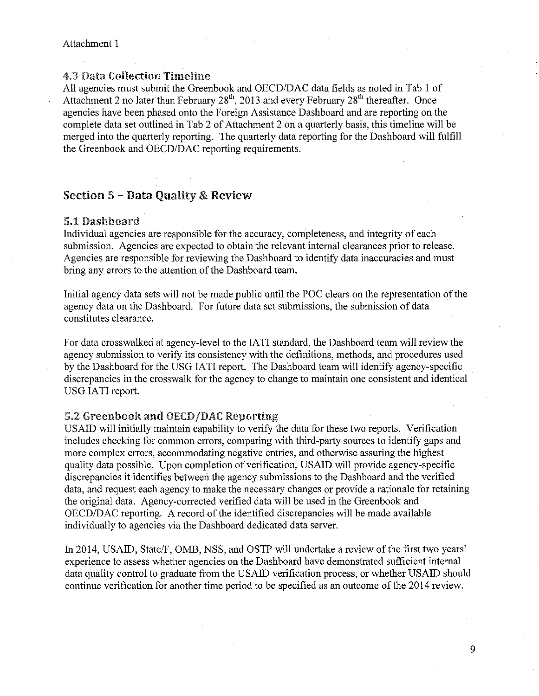#### Attachment 1

### 4.3 Data Collection Timeline

All agencies must submit the Greenbook and OECD/DAC data fields as noted in Tab I of Attachment 2 no later than February  $28<sup>th</sup>$ , 2013 and every February  $28<sup>th</sup>$  thereafter. Once agencies have been phased onto the Foreign Assistance Dashboard and are reporting on the complete data set outlined in Tab 2 of Attachment 2 on a quarterly basis, this timeline will be merged into the quarterly reporting. The quarterly data reporting for the Dashboard will fulfill the Greenbook and OECD/DAC reporting requirements.

### Section 5 - Data Quality & Review

### 5.1 Dashboard

Individual agencies are responsible for the accuracy, completeness, and integrity of each submission, Agencies are expected to obtain the relevant internal clearances prior to release. Agencies are responsible for reviewing the Dashboard to identify data inaccuracies and must bring any errors to the attention of the Dashboard team.

Initial agency data sets will not be made public until the POC clears on the representation of the agency data on the Dashboard. For future data set submissions, the submission of data constitutes clearance.

For data crosswalked at agency-level to the IATI standard, the Dashboard team will review the agency submission to verify its consistency with the definitions, methods, and procedures used by the Dashboard for the USG IATI report. The Dashboard team will identify agency-specific discrepancies in the crosswalk for the agency to change to maintain one consistent and identical USG IATI report.

### 5.2 Greenbook and OECD/DAC Reporting

USAID will initially maintain capability to verify the data for these two reports. Verification includes checking for common errors, comparing with third-party sources to identify gaps and more complex errors, accommodating negative entries, and otherwise assuring the highest quality data possible. Upon completion of verification, USAID will provide agency-specific discrepancies it identifies between the agency submissions to the Dashboard and the verified data, and request each agency to make the necessary changes or provide a rationale for retaining the original data. Agency-corrected verified data will be used in the Greenbook and OECD/DAC reporting. A record of the identified discrepancies will be made available individually to agencies via the Dashboard dedicated data server.

In 2014, USAID, State/F, OMB, NSS, and OSTP will undertake a review of the first two years' experience to assess whether agencies on the Dashboard have demonstrated sufficient internal data quality control to graduate from the USAID verification process, or whether USAID should continue verification for another time period to be specified as an outcome of the 2014 review.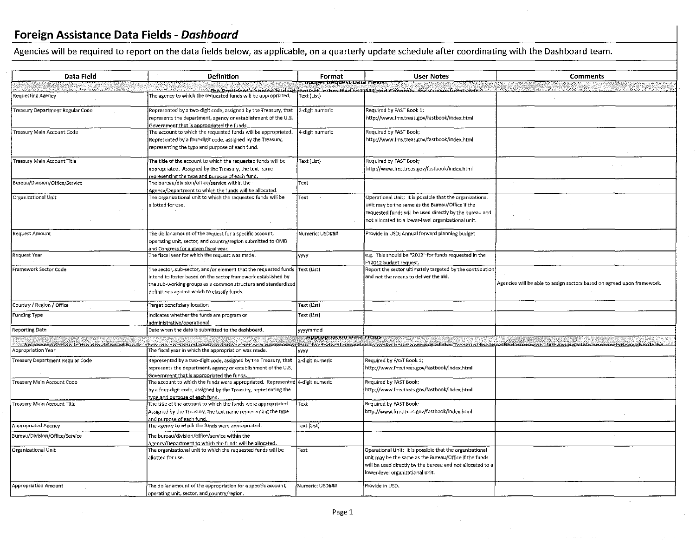Agencies will be required to report on the data fields below, as applicable, on a quarterly update schedule after coordinating with the Dashboard team.

| Data Field                                                    | <b>Definition</b>                                                                                                                                                                                                                                              | Format                            | <b>User Notes</b>                                                                                                                                                                                                              | Comments                                                                |
|---------------------------------------------------------------|----------------------------------------------------------------------------------------------------------------------------------------------------------------------------------------------------------------------------------------------------------------|-----------------------------------|--------------------------------------------------------------------------------------------------------------------------------------------------------------------------------------------------------------------------------|-------------------------------------------------------------------------|
|                                                               |                                                                                                                                                                                                                                                                | <u>ibuuget Kequest vata meius</u> |                                                                                                                                                                                                                                |                                                                         |
| <b>Requesting Agency</b>                                      | The agency to which the requested funds will be appropriated.                                                                                                                                                                                                  | Text (List)                       | The Procident's annual budget conject submitted to OMR and Congress for a given fiscal vear                                                                                                                                    |                                                                         |
| Treasury Department Regular Code                              | Represented by a two-digit code, assigned by the Treasury, that<br>represents the department, agency or establishment of the U.S.<br>Government that is appropriated the funds.                                                                                | 2-digit numeric                   | Required by FAST Book 1;<br>http://www.fms.treas.gov/fastbook/index.html                                                                                                                                                       |                                                                         |
| Treasury Main Account Code                                    | The account to which the requested funds will be appropriated.<br>Represented by a four-digit code, assigned by the Treasury,<br>representing the type and purpose of each fund.                                                                               | 4-digit numeric                   | Required by FAST Book;<br>http://www.fms.treas.gov/fastbook/index.html                                                                                                                                                         |                                                                         |
| Treasury Main Account Title                                   | The title of the account to which the requested funds will be<br>appropriated. Assigned by the Treasury, the text name<br>representing the type and purpose of each fund.                                                                                      | Text (List)                       | Required by FAST Book;<br>http://www.fms.treas.gov/fastbook/index.html                                                                                                                                                         |                                                                         |
| Bureau/Division/Office/Service                                | The bureau/division/office/service within the<br>Agency/Department to which the funds will be allocated.                                                                                                                                                       | Text                              |                                                                                                                                                                                                                                |                                                                         |
| Organizational Unit                                           | The organizational unit to which the requested funds will be<br>allotted for use.                                                                                                                                                                              | Text                              | Operational Unit; It is possible that the organizational<br>unit may be the same as the Bureau/Office if the<br>requested funds will be used directly by the bureau and<br>not allocated to a lower-level organizational unit. |                                                                         |
| Request Amount                                                | The dollar amount of the request for a specific account,<br>operating unit, sector, and country/region submitted to OMB<br>and Congress for a given fiscal year.                                                                                               | Numeric: USD###                   | Provide in USD; Annual forward planning budget                                                                                                                                                                                 |                                                                         |
| Request Year                                                  | The fiscal year for which the request was made.                                                                                                                                                                                                                | <b>yyyy</b>                       | e.g. This should be "2012" for funds requested in the<br>FY2012 budget request.                                                                                                                                                |                                                                         |
| Framework Sector Code                                         | The sector, sub-sector, and/or element that the requested funds {Text {List}<br>intend to foster based on the sector framework established by<br>the sub-working groups as a common structure and standardized<br>definitions against which to classify funds. |                                   | Report the sector ultimately targeted by the contribution<br>and not the means to deliver the aid.                                                                                                                             | Agencies will be able to assign sectors based on agreed upon framework. |
| Country / Region / Office                                     | Target beneficiary location                                                                                                                                                                                                                                    | Text (List)                       |                                                                                                                                                                                                                                |                                                                         |
| Funding Type                                                  | Indicates whether the funds are program or<br>administrative/operational                                                                                                                                                                                       | Text (List)                       |                                                                                                                                                                                                                                |                                                                         |
| Reporting Date                                                | Date when the data is submitted to the dashboard.                                                                                                                                                                                                              | yyymmdd                           |                                                                                                                                                                                                                                |                                                                         |
| appropriation is the provision of tunde<br>Appropriation Year | begunk in innual sponsoriations ast or a normanation for foderal aggrege to make primonts out of the crociry for expedied nuroges. Where particle anomate and<br>The fiscal year in which the appropriation was made.                                          | exposuuauun Data Fieros.          |                                                                                                                                                                                                                                |                                                                         |
| Treasury Department Regular Code                              | Represented by a two-digit code, assigned by the Treasury, that<br>represents the department, agency or establishment of the U.S.<br>Government that is appropriated the funds.                                                                                | <b>YYYY</b><br>2-digit numeric    | Required by FAST Book 1:<br>http://www.fms.treas.gov/fastbook/index.html                                                                                                                                                       |                                                                         |
| Treasury Main Account Code                                    | The account to which the funds were appropriated. Represented $ 4$ -digit numeric<br>by a four-digit code, assigned by the Treasury, representing the<br>type and purpose of each fund.                                                                        |                                   | Required by FAST Book;<br>http://www.fms.treas.gov/fastbook/index.html                                                                                                                                                         |                                                                         |
| Treasury Main Account Title                                   | The title of the account to which the funds were appropriated.<br>Assigned by the Treasury, the text name representing the type<br>and purpose of each fund.                                                                                                   | Text                              | Required by FAST Book;<br>http://www.fms.treas.gov/fastbook/index.html                                                                                                                                                         |                                                                         |
| Appropriated Agency                                           | The agency to which the funds were appropriated.                                                                                                                                                                                                               | Text (List)                       |                                                                                                                                                                                                                                |                                                                         |
| Bureau/Division/Office/Service                                | The bureau/division/office/service within the<br>Agency/Department to which the funds will be allocated.                                                                                                                                                       |                                   |                                                                                                                                                                                                                                |                                                                         |
| Organizational Unit                                           | The organizational unit to which the requested funds will be<br>allotted for use.                                                                                                                                                                              | Text                              | Operational Unit: It is possible that the organizational<br>unit may be the same as the Bureau/Office if the funds<br>will be used directly by the bureau and not allocated to a<br>lower-level organizational unit.           |                                                                         |
| Appropriation Amount                                          | The dollar amount of the appropriation for a specific account,<br>operating unit, sector, and country/region.                                                                                                                                                  | Numeric: USD###                   | Provide in USD.                                                                                                                                                                                                                |                                                                         |

 $\sim$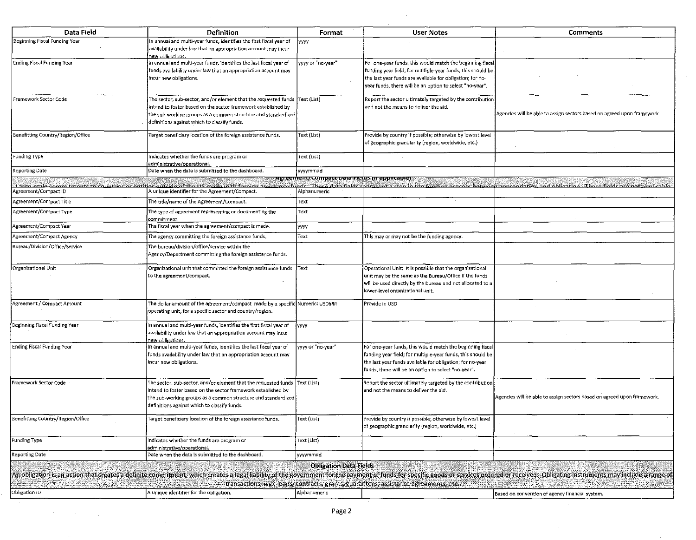| Data Field                        | Definition                                                                                                                                                                                                                                                    | Format                                                             | <b>User Notes</b>                                                                                                                                                                                                                                 | <b>Comments</b>                                                                                                                                                                                                                |
|-----------------------------------|---------------------------------------------------------------------------------------------------------------------------------------------------------------------------------------------------------------------------------------------------------------|--------------------------------------------------------------------|---------------------------------------------------------------------------------------------------------------------------------------------------------------------------------------------------------------------------------------------------|--------------------------------------------------------------------------------------------------------------------------------------------------------------------------------------------------------------------------------|
| Beginning Fiscal Funding Year     | In annual and multi-year funds, identifies the first fiscal year of<br>availability under law that an appropriation account may incur<br>new obligations.                                                                                                     | lvvv                                                               |                                                                                                                                                                                                                                                   |                                                                                                                                                                                                                                |
| <b>Ending Fiscal Funding Year</b> | In annual and multi-year funds, identifies the last fiscal year of<br>funds availability under law that an appropriation account may<br>incur new obligations.                                                                                                | yyyy or "no-year"                                                  | For one-year funds, this would match the beginning fiscal<br>funding year field; for multiple-year funds, this should be<br>the last year funds are available for obligation; for no-<br>year funds, there will be an option to select "no-year". |                                                                                                                                                                                                                                |
| Framework Sector Code             | The sector, sub-sector, and/or element that the requested funds<br>intend to foster based on the sector framework established by<br>the sub-working groups as a common structure and standardized<br>definitions against which to classify funds.             | Text (List)                                                        | Report the sector ultimately targeted by the contribution<br>and not the means to deliver the aid.                                                                                                                                                | Agencies will be able to assign sectors based on agreed upon framework.                                                                                                                                                        |
| Benefitting Country/Region/Office | Target beneficiary location of the foreign assistance funds.                                                                                                                                                                                                  | Text (List)                                                        | Provide by country if possible; otherwise by lowest level<br>of geographic granularity (region, worldwide, etc.)                                                                                                                                  |                                                                                                                                                                                                                                |
| Funding Type                      | Indicates whether the funds are program or<br>administrative/operational.                                                                                                                                                                                     | Text (List)                                                        |                                                                                                                                                                                                                                                   |                                                                                                                                                                                                                                |
| Reporting Date                    | Date when the data is submitted to the dashboard.                                                                                                                                                                                                             | yyymmdd                                                            |                                                                                                                                                                                                                                                   |                                                                                                                                                                                                                                |
| Agreement/Compact ID              | A unique identifier for the Agreement/Compact.                                                                                                                                                                                                                | <u>xgreement/compact Data rielus m appirtaner.</u><br>Alphanumeric |                                                                                                                                                                                                                                                   | I area realer sample to religious or online subside at the US made under the receiped linds. There gain fields eparagets atomin the funding measons here we are anyward announced as help and asked the sample and asked the s |
| Agreement/Compact Title           | The title/name of the Agreement/Compact.                                                                                                                                                                                                                      | Text                                                               |                                                                                                                                                                                                                                                   |                                                                                                                                                                                                                                |
| Agreement/Compact Type            | The type of agreement representing or documenting the<br>commitment.                                                                                                                                                                                          | Text                                                               |                                                                                                                                                                                                                                                   |                                                                                                                                                                                                                                |
| Agreement/Compact Year            | The fiscal year when the agreement/compact is made.                                                                                                                                                                                                           | yyyy                                                               |                                                                                                                                                                                                                                                   |                                                                                                                                                                                                                                |
| Agreement/Compact Agency          | The agency committing the foreign assistance funds.                                                                                                                                                                                                           | Text                                                               | This may or may not be the funding agency.                                                                                                                                                                                                        |                                                                                                                                                                                                                                |
| Bureau/Division/Office/Service    | The bureau/division/office/service within the<br>Agency/Department committing the foreign assistance funds.                                                                                                                                                   |                                                                    |                                                                                                                                                                                                                                                   |                                                                                                                                                                                                                                |
| Organizational Unit               | Organizational unit that committed the foreign assistance funds<br>to the agreement/compact.                                                                                                                                                                  | lText.                                                             | Operational Unit; It is possible that the organizational<br>unit may be the same as the Bureau/Office if the funds<br>will be used directly by the bureau and not allocated to a<br>lower-level organizational unit.                              |                                                                                                                                                                                                                                |
| Agreement / Compact Amount        | The dollar amount of the agreement/compact made by a specific Numeric: USD###<br>operating unit, for a specific sector and country/region.                                                                                                                    |                                                                    | Provide in USD                                                                                                                                                                                                                                    |                                                                                                                                                                                                                                |
| Beginning Fiscal Funding Year     | In annual and multi-year funds, identifies the first fiscal year of<br>availability under law that an appropriation account may incur<br>new obligations.                                                                                                     | lv.vv                                                              |                                                                                                                                                                                                                                                   |                                                                                                                                                                                                                                |
| <b>Ending Fiscal Funding Year</b> | In annual and multi-year funds, identifies the last fiscal year of<br>funds availability under law that an appropriation account may<br>incur new obligations.                                                                                                | yyyy or "no-year"                                                  | For one-year funds, this would match the beginning fiscal<br>funding year field; for multiple-year funds, this should be<br>the last year funds available for obligation; for no-year<br>funds, there will be an option to select "no-year".      |                                                                                                                                                                                                                                |
| Framework Sector Code             | The sector, sub-sector, and/or element that the requested funds Text (List)<br>intend to foster based on the sector framework established by<br>the sub-working groups as a common structure and standardized<br>definitions against which to classify funds. |                                                                    | Report the sector ultimately targeted by the contribution<br>and not the means to deliver the aid.                                                                                                                                                | Agencies will be able to assign sectors based on agreed upon framework.                                                                                                                                                        |
| Benefitting Country/Region/Office | arget beneficiary location of the foreign assistance funds.                                                                                                                                                                                                   | Text (List)                                                        | Provide by country if possible; otherwise by lowest level<br>of geographic granularity (region, worldwide, etc.)                                                                                                                                  |                                                                                                                                                                                                                                |
| Funding Type                      | ndicates whether the funds are program or<br>administrative/operational.                                                                                                                                                                                      | Text (List)                                                        |                                                                                                                                                                                                                                                   |                                                                                                                                                                                                                                |
| Reporting Date                    | Date when the data is submitted to the dashboard.                                                                                                                                                                                                             | yyyymmdd                                                           |                                                                                                                                                                                                                                                   |                                                                                                                                                                                                                                |
|                                   |                                                                                                                                                                                                                                                               | <b>Obligation Data Fields</b>                                      | transactions, e.g., loans, contracts, grants, guarantees, assistance agreements, etc.                                                                                                                                                             | An obligation is an action that creates a definite commitment, which creates a legal liability of the government for the payment of funds for specific goods or services ordered or received. Obligating instruments may inclu |
| Obligation ID                     | A unique identifier for the obligation.                                                                                                                                                                                                                       | Alphanumeric                                                       |                                                                                                                                                                                                                                                   | Based on convention of agency financial system.                                                                                                                                                                                |

 $\Delta \sim$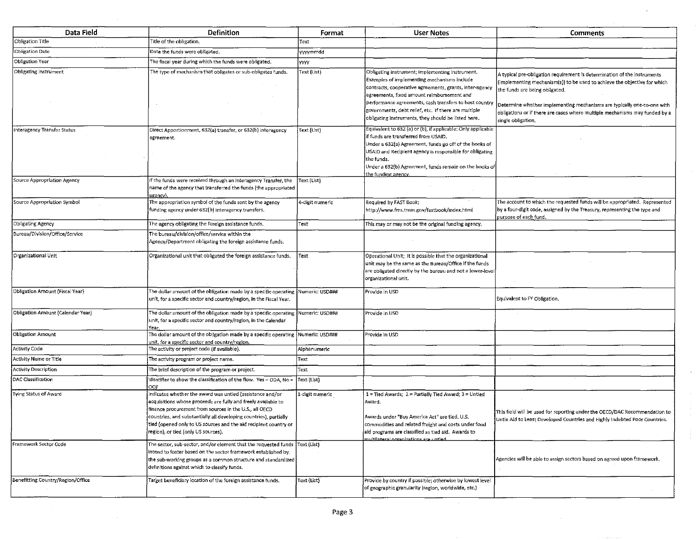| Data Field                        | <b>Definition</b>                                                                                                                                                                                                                                                                                                                                                    | Format          | <b>User Notes</b>                                                                                                                                                                                                                                                                                                                                                                | <b>Comments</b>                                                                                                                                                                                                                                                                                                                                                         |
|-----------------------------------|----------------------------------------------------------------------------------------------------------------------------------------------------------------------------------------------------------------------------------------------------------------------------------------------------------------------------------------------------------------------|-----------------|----------------------------------------------------------------------------------------------------------------------------------------------------------------------------------------------------------------------------------------------------------------------------------------------------------------------------------------------------------------------------------|-------------------------------------------------------------------------------------------------------------------------------------------------------------------------------------------------------------------------------------------------------------------------------------------------------------------------------------------------------------------------|
| Obligation Title                  | Title of the obligation.                                                                                                                                                                                                                                                                                                                                             | Text            |                                                                                                                                                                                                                                                                                                                                                                                  |                                                                                                                                                                                                                                                                                                                                                                         |
| <b>Obligation Date</b>            | Date the funds were obligated.                                                                                                                                                                                                                                                                                                                                       | yyyymmdd        |                                                                                                                                                                                                                                                                                                                                                                                  |                                                                                                                                                                                                                                                                                                                                                                         |
| Obligation Year                   | The fiscal year during which the funds were obligated.                                                                                                                                                                                                                                                                                                               | <b>YYYY</b>     |                                                                                                                                                                                                                                                                                                                                                                                  |                                                                                                                                                                                                                                                                                                                                                                         |
| Obligating Instrument             | The type of mechanism that obligates or sub-obligates funds.                                                                                                                                                                                                                                                                                                         | Text (List)     | Obligating instrument; implementing instrument.<br>Examples of implementing mechanisms include<br>contracts, cooperative agreements, grants, inter-agency<br>agreements, fixed amount reimbursement and<br>performance agreements, cash transfers to host country<br>governments, debt relief, etc. If there are multiple<br>obligating instruments, they should be listed here. | A typical pre-obligation requirement is determination of the instruments<br>(implementing mechanism(s)) to be used to achieve the objective for which<br>the funds are being obligated.<br>Determine whether implementing mechanisms are typically one-to-one with<br>obligations or if there are cases where multiple mechanisms may funded by a<br>single obligation. |
| Interagency Transfer Status       | Direct Apportionment, 632(a) transfer, or 632(b) interagency<br>agreement.                                                                                                                                                                                                                                                                                           | Text (List)     | Equivalent to 632 (a) or (b), if applicable: Only applicable<br>if funds are transferred from USAID.<br>Under a 632(a) Agreement, funds go off of the books of<br>USAID and Recipient agency is responsible for obligating<br>the funds.<br>Under a 632(b) Agreement, funds remain on the books of<br><u>the funding agency.</u>                                                 |                                                                                                                                                                                                                                                                                                                                                                         |
| Source Appropriation Agency       | If the funds were received through an Interagency Transfer, the<br>name of the agency that transferred the funds (the appropriated<br>agencv).                                                                                                                                                                                                                       | Text (List)     |                                                                                                                                                                                                                                                                                                                                                                                  |                                                                                                                                                                                                                                                                                                                                                                         |
| Source Appropriation Symbol       | The appropriation symbol of the funds sent by the agency<br>funding agency under 632(b) interagency transfers.                                                                                                                                                                                                                                                       | 4-digit numeric | Required by FAST Book;<br>http://www.fms.treas.gov/fastbook/index.html                                                                                                                                                                                                                                                                                                           | The account to which the requested funds will be appropriated. Represented<br>by a four-digit code, assigned by the Treasury, representing the type and<br>purpose of each fund.                                                                                                                                                                                        |
| Obligating Agency                 | The agency obligating the foreign assistance funds.                                                                                                                                                                                                                                                                                                                  | Text            | This may or may not be the original funding agency.                                                                                                                                                                                                                                                                                                                              |                                                                                                                                                                                                                                                                                                                                                                         |
| Bureau/Division/Office/Service    | The bureau/division/office/service within the<br>Agency/Department obligating the foreign assistance funds.                                                                                                                                                                                                                                                          |                 |                                                                                                                                                                                                                                                                                                                                                                                  |                                                                                                                                                                                                                                                                                                                                                                         |
| Organizational Unit               | Organizational unit that obligated the foreign assistance funds.                                                                                                                                                                                                                                                                                                     | Text            | Operational Unit; It is possible that the organizational<br>unit may be the same as the Bureau/Office if the funds<br>are obligated directly by the bureau and not a lower-level<br>organizational unit.                                                                                                                                                                         |                                                                                                                                                                                                                                                                                                                                                                         |
| Obligation Amount (Fiscal Year)   | The dollar amount of the obligation made by a specific operating  Numeric: USD###<br>unit, for a specific sector and country/region, in the Fiscal Year.                                                                                                                                                                                                             |                 | Provide in USD                                                                                                                                                                                                                                                                                                                                                                   | Equivalent to FY Obligation.                                                                                                                                                                                                                                                                                                                                            |
| Obligation Amount (Calendar Year) | The dollar amount of the obligation made by a specific operating $\,$ Numeric: USD###<br>unit, for a specific sector and country/region, in the Calendar<br>Year.                                                                                                                                                                                                    |                 | Provide in USD                                                                                                                                                                                                                                                                                                                                                                   |                                                                                                                                                                                                                                                                                                                                                                         |
| <b>Obligation Amount</b>          | The dollar amount of the obligation made by a specific operating $\vert$ Numeric: USD###<br>unit, for a specific sector and country/region.                                                                                                                                                                                                                          |                 | Provide in USD                                                                                                                                                                                                                                                                                                                                                                   |                                                                                                                                                                                                                                                                                                                                                                         |
| Activity Code                     | The activity or project code (if available).                                                                                                                                                                                                                                                                                                                         | Alphanumeric    |                                                                                                                                                                                                                                                                                                                                                                                  |                                                                                                                                                                                                                                                                                                                                                                         |
| Activity Name or Title            | The activity program or project name.                                                                                                                                                                                                                                                                                                                                | Text            |                                                                                                                                                                                                                                                                                                                                                                                  |                                                                                                                                                                                                                                                                                                                                                                         |
| Activity Description              | The brief description of the program or project.                                                                                                                                                                                                                                                                                                                     | Text            |                                                                                                                                                                                                                                                                                                                                                                                  |                                                                                                                                                                                                                                                                                                                                                                         |
| DAC Classification                | Identifier to show the classification of the flow. Yes = ODA, No =<br>DOF                                                                                                                                                                                                                                                                                            | Text (List)     |                                                                                                                                                                                                                                                                                                                                                                                  |                                                                                                                                                                                                                                                                                                                                                                         |
| Tving Status of Award             | Indicates whether the award was untied (assistance and/or<br>acquisitions whose proceeds are fully and freely available to<br>finance procurement from sources in the U.S., all OECD<br>countries, and substantially all developing countries), partially<br>tied (opened only to US sources and the aid recipient country or<br>region), or tied (only US sources). | 1-digit numeric | 1 = Tied Awards; 2 = Partially Tied Award; 3 = Untied<br>Award.<br>Awards under "Buy America Act" are tied. U.S.<br>commodities and related freight and costs under food<br>aid programs are classified as tied aid. Awards to                                                                                                                                                   | This field will be used for reporting under the OECD/DAC Recommendation to<br>Untie Aid to Least Developed Countries and Highly Indebted Poor Countries.                                                                                                                                                                                                                |
| Framework Sector Code             | The sector, sub-sector, and/or element that the requested funds Text (List)<br>intend to foster based on the sector framework established by<br>the sub-working groups as a common structure and standardized<br>definitions against which to classify funds.                                                                                                        |                 | heitdurgis andtstinean leteristing                                                                                                                                                                                                                                                                                                                                               | Agencies will be able to assign sectors based on agreed upon framework.                                                                                                                                                                                                                                                                                                 |
| Benefitting Country/Region/Office | Target beneficiary location of the foreign assistance funds.                                                                                                                                                                                                                                                                                                         | Text (List)     | Provide by country if possible; otherwise by lowest level<br>of geographic granularity (region, worldwide, etc.)                                                                                                                                                                                                                                                                 |                                                                                                                                                                                                                                                                                                                                                                         |

 $\Delta$ 

 $\sim$ 

÷

 $\sim$ 

 $\sim$ 

 $\sim$ 

 $\sim$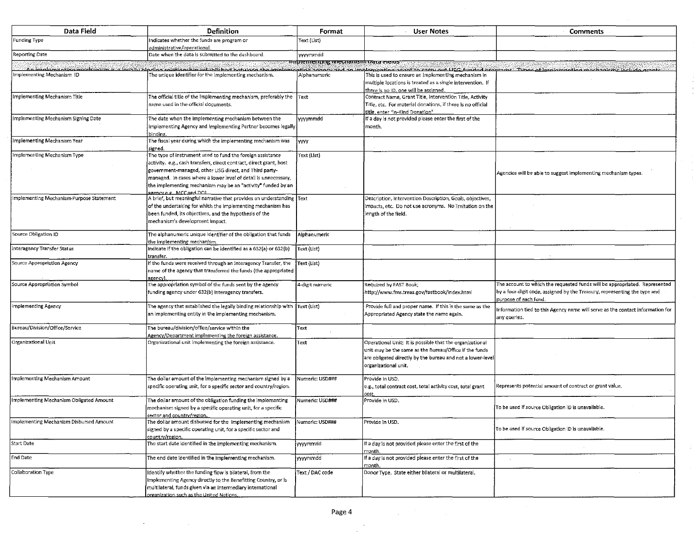| Data Field                               | <b>Definition</b>                                                                                                                                                                                                                                                                                                                                        | Format                            | <b>User Notes</b>                                                                                                                                                                                        | <b>Comments</b>                                                                                                                                                                  |
|------------------------------------------|----------------------------------------------------------------------------------------------------------------------------------------------------------------------------------------------------------------------------------------------------------------------------------------------------------------------------------------------------------|-----------------------------------|----------------------------------------------------------------------------------------------------------------------------------------------------------------------------------------------------------|----------------------------------------------------------------------------------------------------------------------------------------------------------------------------------|
| Funding Type                             | Indicates whether the funds are program or<br>administrative/operational                                                                                                                                                                                                                                                                                 | Text (List)                       |                                                                                                                                                                                                          |                                                                                                                                                                                  |
| <b>Reporting Date</b>                    | Date when the data is submitted to the dashboard.                                                                                                                                                                                                                                                                                                        | <b>yyyymmdd</b>                   |                                                                                                                                                                                                          |                                                                                                                                                                                  |
|                                          |                                                                                                                                                                                                                                                                                                                                                          | mpementing mechanism vata cierus" |                                                                                                                                                                                                          |                                                                                                                                                                                  |
| Implementing Mechanism ID                | <u>An implamenting machinicm is a locally hipding solationship established botugen the implamenting agency and an implement</u><br>The unique identifier for the implementing mechanism.                                                                                                                                                                 | Alphanumeric                      | This is used to ensure an implementing mechanism in<br>multiple locations is treated as a single intervention. If<br>there is no ID, one will be assigned.                                               | ant to carry out LISC funded programs. Types of implementing machanisms include graphs                                                                                           |
| Implementing Mechanism Title             | The official title of the implementing mechanism, preferably the<br>name used in the official documents.                                                                                                                                                                                                                                                 | Text                              | Contract Name, Grant Title, Intervention Title, Activity<br>Title, etc. For material donations, if there is no official<br>title, enter "in-Kind Donation".                                              |                                                                                                                                                                                  |
| Implementing Mechanism Signing Date      | The date when the implementing mechanism between the<br>Implementing Agency and Implementing Partner becomes legally<br>binding.                                                                                                                                                                                                                         | yyyymmdd                          | If a day is not provided please enter the first of the<br>month.                                                                                                                                         |                                                                                                                                                                                  |
| Implementing Mechanism Year              | The fiscal year during which the implementing mechanism was<br>signed.                                                                                                                                                                                                                                                                                   | yyyy                              |                                                                                                                                                                                                          |                                                                                                                                                                                  |
| Implementing Mechanism Type              | The type of instrument used to fund the foreign assistance<br>activity. e.g., cash transfers, direct contract, direct grant, host<br>government-managed, other USG direct, and Third party-<br>managed. In cases where a lower level of detail is unnecessary,<br>the implementing mechanism may be an "activity" funded by an<br>gency e.g. MCC and DOL | Text (List)                       |                                                                                                                                                                                                          | Agencies will be able to suggest implementing mechanism types.                                                                                                                   |
| Implementing Mechanism-Purpose Statement | A brief, but meaningful narrative that provides an understanding Text<br>of the undertaking for which the implementing mechanism has<br>been funded, its objectives, and the hypothesis of the<br>mechanism's development impact.                                                                                                                        |                                   | Description, Intervention Description, Goals, objectives,<br>impacts, etc. Do not use acronyms. No limitation on the<br>length of the field.                                                             |                                                                                                                                                                                  |
| Source Obligation ID                     | The alphanumeric unique identifier of the obligation that funds<br>the implementing mechanism.                                                                                                                                                                                                                                                           | Alphanumeric                      |                                                                                                                                                                                                          |                                                                                                                                                                                  |
| Interagency Transfer Status              | Indicate if the obligation can be identified as a 632(a) or 632(b)<br>transfer.                                                                                                                                                                                                                                                                          | Text (List)                       |                                                                                                                                                                                                          |                                                                                                                                                                                  |
| Source Appropriation Agency              | If the funds were received through an Interagency Transfer, the<br>name of the agency that transferred the funds (the appropriated<br>azencv)                                                                                                                                                                                                            | Text (List)                       |                                                                                                                                                                                                          |                                                                                                                                                                                  |
| Source Appropriation Symbol              | The appropriation symbol of the funds sent by the agency<br>funding agency under 632(b) interagency transfers.                                                                                                                                                                                                                                           | 4-digit numeric                   | Required by FAST Book;<br>http://www.fms.treas.gov/fastbook/index.html                                                                                                                                   | The account to which the requested funds will be appropriated. Represented<br>by a four-digit code, assigned by the Treasury, representing the type and<br>purpose of each fund. |
| Implementing Agency                      | The agency that established the legally binding relationship with Text (List)<br>an implementing entity in the implementing mechanism.                                                                                                                                                                                                                   |                                   | Provide full and proper name. If this is the same as the<br>Appropriated Agency state the name again.                                                                                                    | Information tied to this Agency name will serve as the contact information for<br>any queries.                                                                                   |
| Bureau/Division/Office/Service           | The bureau/division/office/service within the<br>Agency/Department implementing the foreign assistance.                                                                                                                                                                                                                                                  | Text                              |                                                                                                                                                                                                          |                                                                                                                                                                                  |
| Organizational Unit                      | Organizational unit implementing the foreign assistance.                                                                                                                                                                                                                                                                                                 | Text                              | Operational Unit; It is possible that the organizational<br>unit may be the same as the Bureau/Office if the funds<br>are obligated directly by the bureau and not a lower-level<br>organizational unit. |                                                                                                                                                                                  |
| Implementing Mechanism Amount            | The dollar amount of the implementing mechanism signed by a<br>specific operating unit, for a specific sector and country/region.                                                                                                                                                                                                                        | Numeric: USD###                   | Provide in USD.<br>e.g., total contract cost, total activity cost, total grant<br>cost                                                                                                                   | Represents potential amount of contract or grant value.                                                                                                                          |
| Implementing Mechanism Obligated Amount  | The dollar amount of the obligation funding the implementing<br>mechanism signed by a specific operating unit, for a specific<br><u>sector and country/region.</u>                                                                                                                                                                                       | Numeric: USD###                   | Provide in USD.                                                                                                                                                                                          | To be used if source Obligation ID is unavailable.                                                                                                                               |
| Implementing Mechanism Disbursed Amount  | The dollar amount disbursed for the implementing mechanism<br>signed by a specific operating unit, for a specific sector and<br>country/region.                                                                                                                                                                                                          | Numeric: USD###                   | Provide in USD.                                                                                                                                                                                          | To be used if source Obligation ID is unavailable.                                                                                                                               |
| Start Date                               | The start date identified in the implementing mechanism.                                                                                                                                                                                                                                                                                                 | wyymmdd                           | If a day is not provided please enter the first of the<br>month.                                                                                                                                         |                                                                                                                                                                                  |
| End Date                                 | The end date Identified in the implementing mechanism.                                                                                                                                                                                                                                                                                                   | yyyymmdd                          | If a day is not provided please enter the first of the<br>month.                                                                                                                                         |                                                                                                                                                                                  |
| Collaboration Type                       | Identify whether the funding flow is bilateral, from the<br>Implementing Agency directly to the Benefitting Country, or is<br>multilateral, funds given via an intermediary international<br>organization such as the United Nations.                                                                                                                    | Text / DAC code                   | Donor Type. State either bilateral or multilateral.                                                                                                                                                      |                                                                                                                                                                                  |

 $\bar{z}$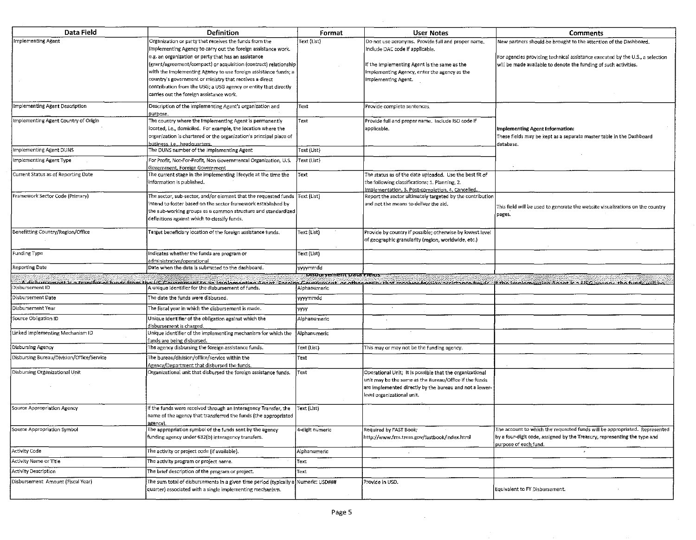| Data Field                                | <b>Definition</b>                                                                                                                                                                                                                                                                                                         | Format                      | <b>User Notes</b>                                                                                                                                                                                           | <b>Comments</b>                                                                                                                                                                                                                |
|-------------------------------------------|---------------------------------------------------------------------------------------------------------------------------------------------------------------------------------------------------------------------------------------------------------------------------------------------------------------------------|-----------------------------|-------------------------------------------------------------------------------------------------------------------------------------------------------------------------------------------------------------|--------------------------------------------------------------------------------------------------------------------------------------------------------------------------------------------------------------------------------|
| <b>Implementing Agent</b>                 | Organization or party that receives the funds from the<br>Implementing Agency to carry out the foreign assistance work.                                                                                                                                                                                                   | Text (List)                 | Do not use acronyms. Provide full and proper name.<br>Include DAC code if applicable.                                                                                                                       | New partners should be brought to the attention of the Dashboard.                                                                                                                                                              |
|                                           | e.g. an organization or party that has an assistance<br>(grant/agreement/compact) or acquisition (contract) relationship<br>with the Implementing Agency to use foreign assistance funds; a<br>country's government or ministry that receives a direct<br>contribution from the USG; a USG agency or entity that directly |                             | If the Implementing Agent is the same as the<br>Implementing Agency, enter the agency as the<br>Implementing Agent.                                                                                         | For agencies providing technical assistance executed by the U.S., a selection<br>will be made available to denote the funding of such activities.                                                                              |
|                                           | carries out the foreign assistance work.                                                                                                                                                                                                                                                                                  |                             |                                                                                                                                                                                                             |                                                                                                                                                                                                                                |
| Implementing Agent Description            | Description of the implementing Agent's organization and<br>ourpose.                                                                                                                                                                                                                                                      | Text                        | Provide complete sentences.                                                                                                                                                                                 |                                                                                                                                                                                                                                |
| Implementing Agent Country of Origin      | The country where the Implementing Agent is permanently<br>located, i.e., domiciled. For example, the location where the<br>organization is chartered or the organization's principal place of<br>business, i.e., headquarters.                                                                                           | Text                        | Provide full and proper name. Include ISO code if<br>applicable.                                                                                                                                            | Implementing Agent Information:<br>These fields may be kept as a separate master table in the Dashboard<br>database.                                                                                                           |
| Implementing Agent DUNS                   | The DUNS number of the Implementing Agent                                                                                                                                                                                                                                                                                 | Text (List)                 |                                                                                                                                                                                                             |                                                                                                                                                                                                                                |
| Implementing Agent Type                   | For Profit, Not-For-Profit, Non Governmental Organization, U.S.<br>Government, Foreign Government                                                                                                                                                                                                                         | Text (List)                 |                                                                                                                                                                                                             |                                                                                                                                                                                                                                |
| Current Status as of Reporting Date       | The current stage in the implementing lifecycle at the time the<br>information is published.                                                                                                                                                                                                                              | Text                        | The status as of the date uploaded. Use the best fit of<br>the following classifications; 1. Planning, 2.<br>mplementation, 3. Post-completion, 4. Cancelled.                                               |                                                                                                                                                                                                                                |
| Framework Sector Code (Primary)           | The sector, sub-sector, and/or element that the requested funds Text (List)<br>intend to foster based on the sector framework established by<br>the sub-working groups as a common structure and standardized<br>definitions against which to classify funds.                                                             |                             | Report the sector ultimately targeted by the contribution<br>and not the means to deliver the aid.                                                                                                          | This field will be used to generate the website visualizations on the country<br>pages.                                                                                                                                        |
| Benefitting Country/Region/Office         | Target beneficiary location of the foreign assistance funds.                                                                                                                                                                                                                                                              | Text (List)                 | Provide by country if possible; otherwise by lowest level<br>of geographic granularity (region, worldwide, etc.)                                                                                            |                                                                                                                                                                                                                                |
| Funding Type                              | Indicates whether the funds are program or<br>administrative/operational                                                                                                                                                                                                                                                  | Text (List)                 |                                                                                                                                                                                                             |                                                                                                                                                                                                                                |
| Reporting Date                            | Date when the data is submitted to the dashboard.                                                                                                                                                                                                                                                                         | yyyymmdd                    |                                                                                                                                                                                                             |                                                                                                                                                                                                                                |
|                                           |                                                                                                                                                                                                                                                                                                                           | iusuursement uata itteitis. |                                                                                                                                                                                                             | disturgment is a transfor of funds from the US Covernment to an implementing acout Especial decorporation or other astify that receives faccing assistance funds what if the implementing anothic all CC anoney the funds will |
| Disbursement ID                           | A unique identifier for the disbursement of funds.                                                                                                                                                                                                                                                                        | Alphanumeric                |                                                                                                                                                                                                             |                                                                                                                                                                                                                                |
| Disbursement Date                         | The date the funds were disbursed.                                                                                                                                                                                                                                                                                        | yyyymmdd                    |                                                                                                                                                                                                             |                                                                                                                                                                                                                                |
| Disbursement Year                         | The fiscal year in which the disbursement is made.                                                                                                                                                                                                                                                                        | <b>yyyy</b>                 |                                                                                                                                                                                                             |                                                                                                                                                                                                                                |
| Source Obligation ID                      | Unique identifier of the obligation against which the<br>disbursement is charged.                                                                                                                                                                                                                                         | Alphanumeric                |                                                                                                                                                                                                             |                                                                                                                                                                                                                                |
| Linked Implementing Mechanism ID          | Unique identifier of the implementing mechanism for which the<br>funds are being disbursed.                                                                                                                                                                                                                               | Alphanumeric                |                                                                                                                                                                                                             |                                                                                                                                                                                                                                |
| Disbursing Agency                         | The agency disbursing the foreign assistance funds.                                                                                                                                                                                                                                                                       | Text (List)                 | This may or may not be the funding agency.                                                                                                                                                                  |                                                                                                                                                                                                                                |
| Disbursing Bureau/Division/Office/Service | The bureau/division/office/service within the<br>Agency/Department that disbursed the funds.                                                                                                                                                                                                                              | Text                        |                                                                                                                                                                                                             |                                                                                                                                                                                                                                |
| Disbursing Organizational Unit            | Organizational unit that disbursed the foreign assistance funds.                                                                                                                                                                                                                                                          | Text                        | Operational Unit; It is possible that the organizational<br>unit may be the same as the Bureau/Office if the funds<br>are implemented directly by the bureau and not a lower-<br>level organizational unit. |                                                                                                                                                                                                                                |
| Source Appropriation Agency               | If the funds were received through an Interagency Transfer, the<br>name of the agency that transferred the funds (the appropriated<br>azency).                                                                                                                                                                            | Text (List)                 |                                                                                                                                                                                                             |                                                                                                                                                                                                                                |
| Source Appropriation Symbol               | The appropriation symbol of the funds sent by the agency<br>funding agency under 632(b) interagency transfers.                                                                                                                                                                                                            | 4-digit numeric             | Required by FAST Book;<br>http://www.fms.treas.gov/fastbook/index.html                                                                                                                                      | The account to which the requested funds will be appropriated. Represented<br>by a four-digit code, assigned by the Treasury, representing the type and<br>purpose of each fund.                                               |
| Activity Code                             | The activity or project code (if available).                                                                                                                                                                                                                                                                              | Alphanumeric                |                                                                                                                                                                                                             |                                                                                                                                                                                                                                |
| Activity Name or Title                    | The activity program or project name.                                                                                                                                                                                                                                                                                     | Text                        |                                                                                                                                                                                                             |                                                                                                                                                                                                                                |
| Activity Description                      | The brief description of the program or project.                                                                                                                                                                                                                                                                          | Text                        |                                                                                                                                                                                                             |                                                                                                                                                                                                                                |
| Disbursement Amount (Fiscal Year)         | The sum total of disbursements in a given time period (typically a<br>quarter) associated with a single implementing mechanism.                                                                                                                                                                                           | Numeric: USD###             | Provide in USD.                                                                                                                                                                                             | Equivalent to FY Disbursement.                                                                                                                                                                                                 |

 $\mathcal{L}$ 

 $\sim$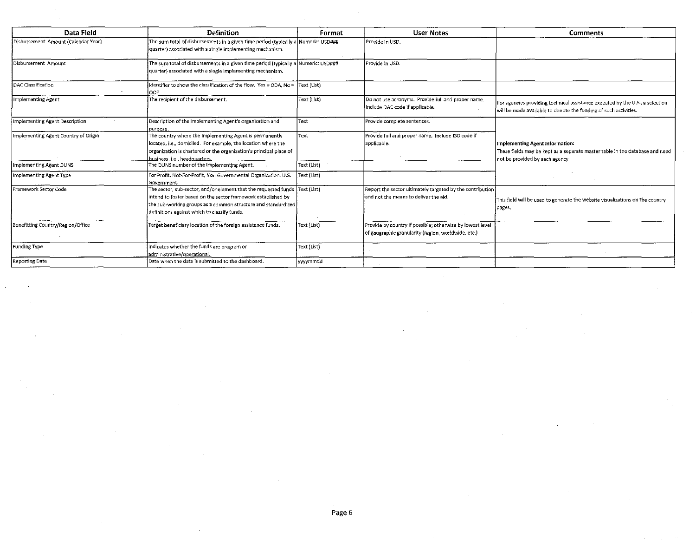| Data Field                           | <b>Definition</b>                                                                                                                                                                                                                                              | Format      | <b>User Notes</b>                                                                                                | <b>Comments</b>                                                                                                                                   |
|--------------------------------------|----------------------------------------------------------------------------------------------------------------------------------------------------------------------------------------------------------------------------------------------------------------|-------------|------------------------------------------------------------------------------------------------------------------|---------------------------------------------------------------------------------------------------------------------------------------------------|
| Disbursement Amount (Calendar Year)  | The sum total of disbursements in a given time period (typically a Numeric: USD###<br>quarter) associated with a single implementing mechanism.                                                                                                                |             | Provide in USD.                                                                                                  |                                                                                                                                                   |
| Disbursement Amount                  | The sum total of disbursements in a given time period (typically a Numeric: USD###<br>quarter) associated with a single implementing mechanism.                                                                                                                |             | Provide in USD.                                                                                                  |                                                                                                                                                   |
| DAC Classification                   | Identifier to show the classification of the flow. Yes = ODA, No =<br>loof                                                                                                                                                                                     | Text (List) |                                                                                                                  |                                                                                                                                                   |
| Implementing Agent                   | The recipient of the disbursement.                                                                                                                                                                                                                             | Text (List) | Do not use acronyms. Provide full and proper name.<br>Include DAC code if applicable.                            | For agencies providing technical assistance executed by the U.S., a selection<br>will be made available to denote the funding of such activities. |
| Implementing Agent Description       | Description of the Implementing Agent's organization and<br>purpose.                                                                                                                                                                                           | Text        | Provide complete sentences.                                                                                      |                                                                                                                                                   |
| Implementing Agent Country of Origin | The country where the Implementing Agent is permanently<br>located, i.e., domiciled. For example, the location where the<br>organization is chartered or the organization's principal place of<br>lbusiness, i.e., headquarters.                               | Text        | Provide full and proper name. Include ISO code if<br>applicable.                                                 | Implementing Agent Information:<br>These fields may be kept as a separate master table in the database and need<br>not be provided by each agency |
| Implementing Agent DUNS              | The DUNS number of the Implementing Agent.                                                                                                                                                                                                                     | Text (List) |                                                                                                                  |                                                                                                                                                   |
| Implementing Agent Type              | For Profit, Not-For-Profit, Non Governmental Organization, U.S.<br>Government.                                                                                                                                                                                 | Text (List) |                                                                                                                  |                                                                                                                                                   |
| Framework Sector Code                | The sector, sub-sector, and/or element that the requested funds  Text (List)<br>intend to foster based on the sector framework established by<br>the sub-working groups as a common structure and standardized<br>definitions against which to classify funds. |             | Report the sector ultimately targeted by the contribution<br>and not the means to deliver the aid.               | This field will be used to generate the website visualizations on the country<br>pages.                                                           |
| Benefitting Country/Region/Office    | Target beneficiary location of the foreign assistance funds.                                                                                                                                                                                                   | Text (List) | Provide by country if possible; otherwise by lowest level<br>of geographic granularity (region, worldwide, etc.) |                                                                                                                                                   |
| Funding Type                         | Indicates whether the funds are program or<br>administrative/operational.                                                                                                                                                                                      | Text (List) |                                                                                                                  |                                                                                                                                                   |
| <b>Reporting Date</b>                | Date when the data is submitted to the dashboard.                                                                                                                                                                                                              | lyyyymmdd   |                                                                                                                  |                                                                                                                                                   |

 $\sim$ 

 $\sim$